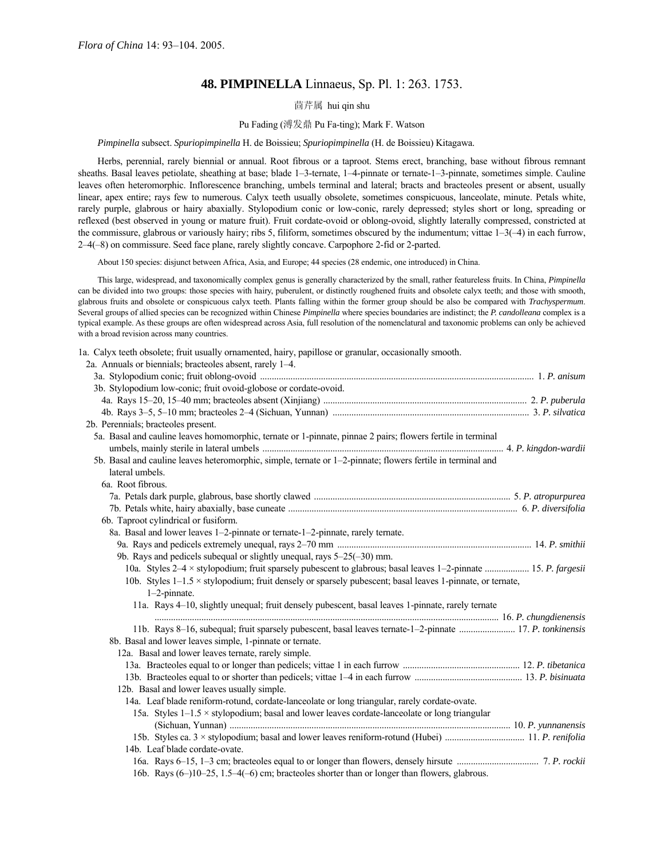# **48. PIMPINELLA** Linnaeus, Sp. Pl. 1: 263. 1753.

# 茴芹属 hui qin shu

# Pu Fading (溥发鼎 Pu Fa-ting); Mark F. Watson

# *Pimpinella* subsect. *Spuriopimpinella* H. de Boissieu; *Spuriopimpinella* (H. de Boissieu) Kitagawa.

Herbs, perennial, rarely biennial or annual. Root fibrous or a taproot. Stems erect, branching, base without fibrous remnant sheaths. Basal leaves petiolate, sheathing at base; blade 1-3-ternate, 1-4-pinnate or ternate-1-3-pinnate, sometimes simple. Cauline leaves often heteromorphic. Inflorescence branching, umbels terminal and lateral; bracts and bracteoles present or absent, usually linear, apex entire; rays few to numerous. Calyx teeth usually obsolete, sometimes conspicuous, lanceolate, minute. Petals white, rarely purple, glabrous or hairy abaxially. Stylopodium conic or low-conic, rarely depressed; styles short or long, spreading or reflexed (best observed in young or mature fruit). Fruit cordate-ovoid or oblong-ovoid, slightly laterally compressed, constricted at the commissure, glabrous or variously hairy; ribs 5, filiform, sometimes obscured by the indumentum; vittae  $1-3(-4)$  in each furrow, 2–4(-8) on commissure. Seed face plane, rarely slightly concave. Carpophore 2-fid or 2-parted.

About 150 species: disjunct between Africa, Asia, and Europe; 44 species (28 endemic, one introduced) in China.

This large, widespread, and taxonomically complex genus is generally characterized by the small, rather featureless fruits. In China, *Pimpinella* can be divided into two groups: those species with hairy, puberulent, or distinctly roughened fruits and obsolete calyx teeth; and those with smooth, glabrous fruits and obsolete or conspicuous calyx teeth. Plants falling within the former group should be also be compared with *Trachyspermum*. Several groups of allied species can be recognized within Chinese *Pimpinella* where species boundaries are indistinct; the *P. candolleana* complex is a typical example. As these groups are often widespread across Asia, full resolution of the nomenclatural and taxonomic problems can only be achieved with a broad revision across many countries.

1a. Calyx teeth obsolete; fruit usually ornamented, hairy, papillose or granular, occasionally smooth.

| 2a. Annuals or biennials; bracteoles absent, rarely 1–4.                                                                            |  |
|-------------------------------------------------------------------------------------------------------------------------------------|--|
|                                                                                                                                     |  |
| 3b. Stylopodium low-conic; fruit ovoid-globose or cordate-ovoid.                                                                    |  |
|                                                                                                                                     |  |
|                                                                                                                                     |  |
| 2b. Perennials; bracteoles present.                                                                                                 |  |
| 5a. Basal and cauline leaves homomorphic, ternate or 1-pinnate, pinnae 2 pairs; flowers fertile in terminal                         |  |
| 5b. Basal and cauline leaves heteromorphic, simple, ternate or 1-2-pinnate; flowers fertile in terminal and                         |  |
| lateral umbels.                                                                                                                     |  |
| 6a. Root fibrous.                                                                                                                   |  |
|                                                                                                                                     |  |
|                                                                                                                                     |  |
| 6b. Taproot cylindrical or fusiform.                                                                                                |  |
| 8a. Basal and lower leaves 1-2-pinnate or ternate-1-2-pinnate, rarely ternate.                                                      |  |
|                                                                                                                                     |  |
| 9b. Rays and pedicels subequal or slightly unequal, rays $5-25(-30)$ mm.                                                            |  |
| 10a. Styles 2-4 x stylopodium; fruit sparsely pubescent to glabrous; basal leaves 1-2-pinnate  15. P. fargesii                      |  |
| 10b. Styles $1-1.5 \times$ stylopodium; fruit densely or sparsely pubescent; basal leaves 1-pinnate, or ternate,<br>$1-2$ -pinnate. |  |
| 11a. Rays 4-10, slightly unequal; fruit densely pubescent, basal leaves 1-pinnate, rarely ternate                                   |  |
|                                                                                                                                     |  |
| 11b. Rays 8-16, subequal; fruit sparsely pubescent, basal leaves ternate-1-2-pinnate  17. P. tonkinensis                            |  |
| 8b. Basal and lower leaves simple, 1-pinnate or ternate.                                                                            |  |
| 12a. Basal and lower leaves ternate, rarely simple.                                                                                 |  |
|                                                                                                                                     |  |
|                                                                                                                                     |  |
| 12b. Basal and lower leaves usually simple.                                                                                         |  |
| 14a. Leaf blade reniform-rotund, cordate-lanceolate or long triangular, rarely cordate-ovate.                                       |  |
| 15a. Styles $1-1.5 \times$ stylopodium; basal and lower leaves cordate-lanceolate or long triangular                                |  |
|                                                                                                                                     |  |
| 14b. Leaf blade cordate-ovate.                                                                                                      |  |
|                                                                                                                                     |  |
| 16b. Rays (6–)10–25, 1.5–4(–6) cm; bracteoles shorter than or longer than flowers, glabrous.                                        |  |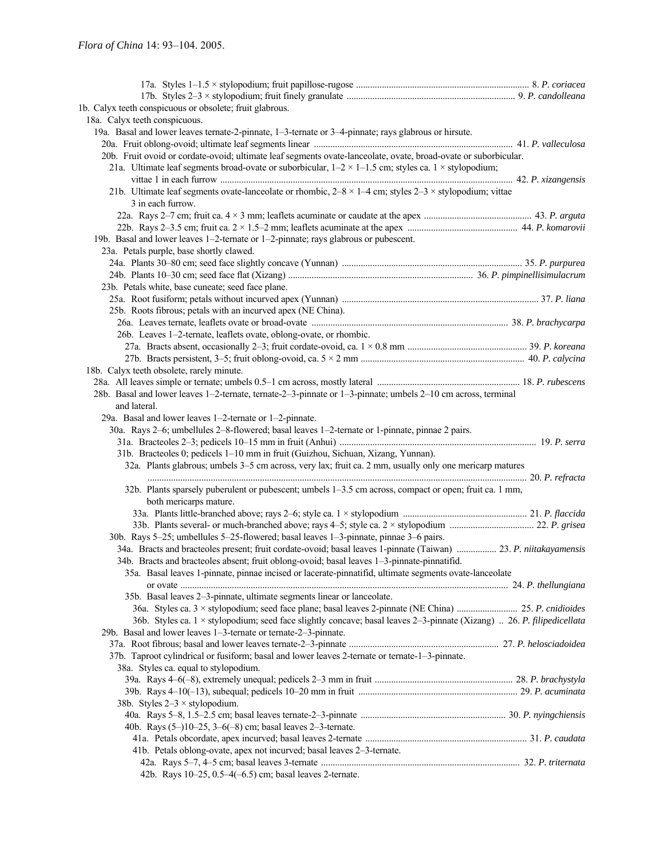| 1b. Calyx teeth conspicuous or obsolete; fruit glabrous.                                                                      |  |
|-------------------------------------------------------------------------------------------------------------------------------|--|
| 18a. Calyx teeth conspicuous.                                                                                                 |  |
| 19a. Basal and lower leaves ternate-2-pinnate, 1-3-ternate or 3-4-pinnate; rays glabrous or hirsute.                          |  |
|                                                                                                                               |  |
| 20b. Fruit ovoid or cordate-ovoid; ultimate leaf segments ovate-lanceolate, ovate, broad-ovate or suborbicular.               |  |
| 21a. Ultimate leaf segments broad-ovate or suborbicular, $1-2 \times 1-1.5$ cm; styles ca. 1 × stylopodium;                   |  |
|                                                                                                                               |  |
| 21b. Ultimate leaf segments ovate-lanceolate or rhombic, $2-8 \times 1-4$ cm; styles $2-3 \times$ stylopodium; vittae         |  |
| 3 in each furrow.                                                                                                             |  |
|                                                                                                                               |  |
|                                                                                                                               |  |
| 19b. Basal and lower leaves 1-2-ternate or 1-2-pinnate; rays glabrous or pubescent.                                           |  |
| 23a. Petals purple, base shortly clawed.                                                                                      |  |
|                                                                                                                               |  |
|                                                                                                                               |  |
| 23b. Petals white, base cuneate; seed face plane.                                                                             |  |
|                                                                                                                               |  |
| 25b. Roots fibrous; petals with an incurved apex (NE China).                                                                  |  |
|                                                                                                                               |  |
| 26b. Leaves 1-2-ternate, leaflets ovate, oblong-ovate, or rhombic.                                                            |  |
|                                                                                                                               |  |
|                                                                                                                               |  |
| 18b. Calyx teeth obsolete, rarely minute.                                                                                     |  |
|                                                                                                                               |  |
| 28b. Basal and lower leaves 1-2-ternate, ternate-2-3-pinnate or 1-3-pinnate; umbels 2-10 cm across, terminal                  |  |
| and lateral.                                                                                                                  |  |
| 29a. Basal and lower leaves 1-2-ternate or 1-2-pinnate.                                                                       |  |
| 30a. Rays 2–6; umbellules 2–8-flowered; basal leaves 1–2-ternate or 1-pinnate, pinnae 2 pairs.                                |  |
|                                                                                                                               |  |
| 31b. Bracteoles 0; pedicels 1-10 mm in fruit (Guizhou, Sichuan, Xizang, Yunnan).                                              |  |
| 32a. Plants glabrous; umbels 3–5 cm across, very lax; fruit ca. 2 mm, usually only one mericarp matures                       |  |
|                                                                                                                               |  |
| 32b. Plants sparsely puberulent or pubescent; umbels 1–3.5 cm across, compact or open; fruit ca. 1 mm,                        |  |
| both mericarps mature.                                                                                                        |  |
|                                                                                                                               |  |
| 30b. Rays 5-25; umbellules 5-25-flowered; basal leaves 1-3-pinnate, pinnae 3-6 pairs.                                         |  |
| 34a. Bracts and bracteoles present; fruit cordate-ovoid; basal leaves 1-pinnate (Taiwan)  23. P. niitakayamensis              |  |
| 34b. Bracts and bracteoles absent; fruit oblong-ovoid; basal leaves 1–3-pinnate-pinnatifid.                                   |  |
|                                                                                                                               |  |
|                                                                                                                               |  |
| 35a. Basal leaves 1-pinnate, pinnae incised or lacerate-pinnatifid, ultimate segments ovate-lanceolate                        |  |
|                                                                                                                               |  |
| 35b. Basal leaves 2–3-pinnate, ultimate segments linear or lanceolate.                                                        |  |
|                                                                                                                               |  |
| 36b. Styles ca. $1 \times$ stylopodium; seed face slightly concave; basal leaves 2-3-pinnate (Xizang)  26. P. filipedicellata |  |
| 29b. Basal and lower leaves 1-3-ternate or ternate-2-3-pinnate.                                                               |  |
|                                                                                                                               |  |
| 37b. Taproot cylindrical or fusiform; basal and lower leaves 2-ternate or ternate-1-3-pinnate.                                |  |
| 38a. Styles ca. equal to stylopodium.                                                                                         |  |
|                                                                                                                               |  |
| 38b. Styles $2-3 \times$ stylopodium.                                                                                         |  |
|                                                                                                                               |  |
| 40b. Rays $(5-)10-25$ , $3-6(-8)$ cm; basal leaves $2-3$ -ternate.                                                            |  |
|                                                                                                                               |  |
| 41b. Petals oblong-ovate, apex not incurved; basal leaves 2-3-ternate.                                                        |  |
| 42b. Rays 10-25, 0.5-4(-6.5) cm; basal leaves 2-ternate.                                                                      |  |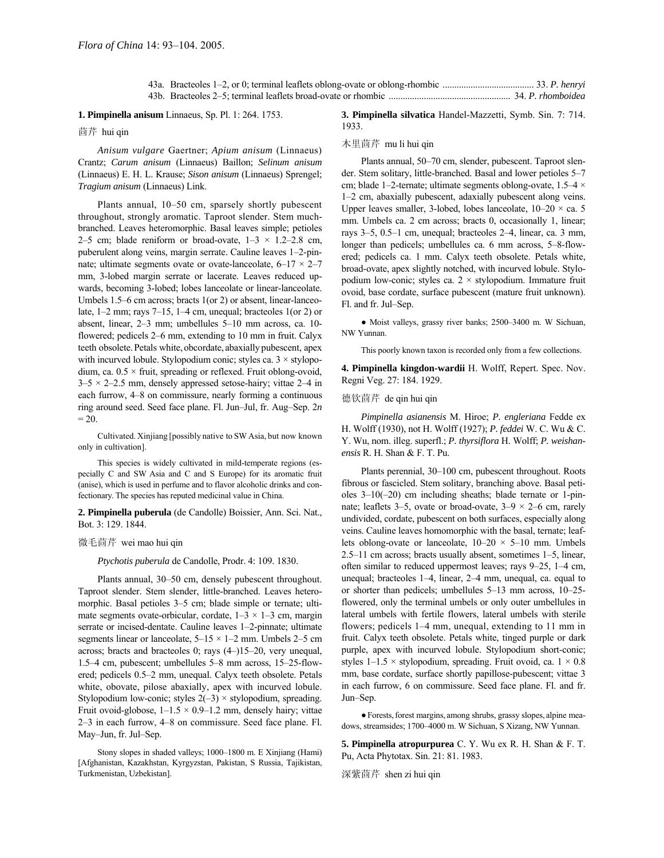# **1. Pimpinella anisum** Linnaeus, Sp. Pl. 1: 264. 1753.

茴芹 hui qin

*Anisum vulgare* Gaertner; *Apium anisum* (Linnaeus) Crantz; *Carum anisum* (Linnaeus) Baillon; *Selinum anisum* (Linnaeus) E. H. L. Krause; *Sison anisum* (Linnaeus) Sprengel; *Tragium anisum* (Linnaeus) Link.

Plants annual, 10–50 cm, sparsely shortly pubescent throughout, strongly aromatic. Taproot slender. Stem muchbranched. Leaves heteromorphic. Basal leaves simple; petioles 2–5 cm; blade reniform or broad-ovate,  $1-3 \times 1.2-2.8$  cm, puberulent along veins, margin serrate. Cauline leaves 1–2-pinnate; ultimate segments ovate or ovate-lanceolate,  $6-17 \times 2-7$ mm, 3-lobed margin serrate or lacerate. Leaves reduced upwards, becoming 3-lobed; lobes lanceolate or linear-lanceolate. Umbels  $1.5-6$  cm across; bracts  $1$ (or 2) or absent, linear-lanceolate,  $1-2$  mm; rays  $7-15$ ,  $1-4$  cm, unequal; bracteoles  $1$ (or 2) or absent, linear,  $2-3$  mm; umbellules  $5-10$  mm across, ca. 10flowered; pedicels 2–6 mm, extending to 10 mm in fruit. Calyx teeth obsolete. Petals white, obcordate, abaxially pubescent, apex with incurved lobule. Stylopodium conic; styles ca.  $3 \times$  stylopodium, ca.  $0.5 \times$  fruit, spreading or reflexed. Fruit oblong-ovoid,  $3-5 \times 2-2.5$  mm, densely appressed setose-hairy; vittae 2–4 in each furrow, 4–8 on commissure, nearly forming a continuous ring around seed. Seed face plane. Fl. Jun-Jul, fr. Aug-Sep. 2*n*  $= 20.$ 

Cultivated. Xinjiang [possibly native to SW Asia, but now known only in cultivation].

This species is widely cultivated in mild-temperate regions (especially C and SW Asia and C and S Europe) for its aromatic fruit (anise), which is used in perfume and to flavor alcoholic drinks and confectionary. The species has reputed medicinal value in China.

**2. Pimpinella puberula** (de Candolle) Boissier, Ann. Sci. Nat., Bot. 3: 129. 1844.

#### 微毛茴芹 wei mao hui qin

*Ptychotis puberula* de Candolle, Prodr. 4: 109. 1830.

Plants annual, 30–50 cm, densely pubescent throughout. Taproot slender. Stem slender, little-branched. Leaves heteromorphic. Basal petioles 3–5 cm; blade simple or ternate; ultimate segments ovate-orbicular, cordate,  $1-3 \times 1-3$  cm, margin serrate or incised-dentate. Cauline leaves 1-2-pinnate; ultimate segments linear or lanceolate,  $5-15 \times 1-2$  mm. Umbels 2-5 cm across; bracts and bracteoles 0; rays  $(4-)15-20$ , very unequal, 1.5 $-4$  cm, pubescent; umbellules 5 $-8$  mm across, 15 $-25$ -flowered; pedicels 0.5–2 mm, unequal. Calyx teeth obsolete. Petals white, obovate, pilose abaxially, apex with incurved lobule. Stylopodium low-conic; styles  $2(-3) \times$  stylopodium, spreading. Fruit ovoid-globose,  $1-1.5 \times 0.9-1.2$  mm, densely hairy; vittae  $2-3$  in each furrow,  $4-8$  on commissure. Seed face plane. Fl. May-Jun, fr. Jul-Sep.

Stony slopes in shaded valleys; 1000-1800 m. E Xinjiang (Hami) [Afghanistan, Kazakhstan, Kyrgyzstan, Pakistan, S Russia, Tajikistan, Turkmenistan, Uzbekistan].

# **3. Pimpinella silvatica** Handel-Mazzetti, Symb. Sin. 7: 714. 1933.

# 木里茴芹 mu li hui qin

Plants annual, 50-70 cm, slender, pubescent. Taproot slender. Stem solitary, little-branched. Basal and lower petioles 5-7 cm; blade 1–2-ternate; ultimate segments oblong-ovate,  $1.5-4 \times$ 1–2 cm, abaxially pubescent, adaxially pubescent along veins. Upper leaves smaller, 3-lobed, lobes lanceolate,  $10-20 \times$  ca. 5 mm. Umbels ca. 2 cm across; bracts 0, occasionally 1, linear; rays  $3-5$ ,  $0.5-1$  cm, unequal; bracteoles  $2-4$ , linear, ca. 3 mm, longer than pedicels; umbellules ca. 6 mm across, 5-8-flowered; pedicels ca. 1 mm. Calyx teeth obsolete. Petals white, broad-ovate, apex slightly notched, with incurved lobule. Stylopodium low-conic; styles ca.  $2 \times$  stylopodium. Immature fruit ovoid, base cordate, surface pubescent (mature fruit unknown). Fl. and fr. Jul-Sep.

• Moist valleys, grassy river banks; 2500-3400 m. W Sichuan, NW Yunnan.

This poorly known taxon is recorded only from a few collections.

**4. Pimpinella kingdon-wardii** H. Wolff, Repert. Spec. Nov. Regni Veg. 27: 184. 1929.

# 德钦茴芹 de qin hui qin

*Pimpinella asianensis* M. Hiroe; *P. engleriana* Fedde ex H. Wolff (1930), not H. Wolff (1927); *P. feddei* W. C. Wu & C. Y. Wu, nom. illeg. superfl.; *P. thyrsiflora* H. Wolff; *P. weishanensis* R. H. Shan & F. T. Pu.

Plants perennial, 30-100 cm, pubescent throughout. Roots fibrous or fascicled. Stem solitary, branching above. Basal petioles  $3-10(-20)$  cm including sheaths; blade ternate or 1-pinnate; leaflets 3–5, ovate or broad-ovate,  $3-9 \times 2-6$  cm, rarely undivided, cordate, pubescent on both surfaces, especially along veins. Cauline leaves homomorphic with the basal, ternate; leaflets oblong-ovate or lanceolate,  $10-20 \times 5-10$  mm. Umbels 2.5 $-11$  cm across; bracts usually absent, sometimes  $1-5$ , linear, often similar to reduced uppermost leaves; rays  $9-25$ ,  $1-4$  cm, unequal; bracteoles  $1-4$ , linear,  $2-4$  mm, unequal, ca. equal to or shorter than pedicels; umbellules  $5-13$  mm across,  $10-25$ flowered, only the terminal umbels or only outer umbellules in lateral umbels with fertile flowers, lateral umbels with sterile flowers; pedicels  $1-4$  mm, unequal, extending to  $11$  mm in fruit. Calyx teeth obsolete. Petals white, tinged purple or dark purple, apex with incurved lobule. Stylopodium short-conic; styles  $1-1.5 \times$  stylopodium, spreading. Fruit ovoid, ca.  $1 \times 0.8$ mm, base cordate, surface shortly papillose-pubescent; vittae 3 in each furrow, 6 on commissure. Seed face plane. Fl. and fr. Jun-Sep.

●Forests,forest margins, among shrubs, grassy slopes, alpine meadows, streamsides; 1700-4000 m. W Sichuan, S Xizang, NW Yunnan.

**5. Pimpinella atropurpurea** C. Y. Wu ex R. H. Shan & F. T. Pu, Acta Phytotax. Sin. 21: 81. 1983.

深紫茴芹 shen zi hui qin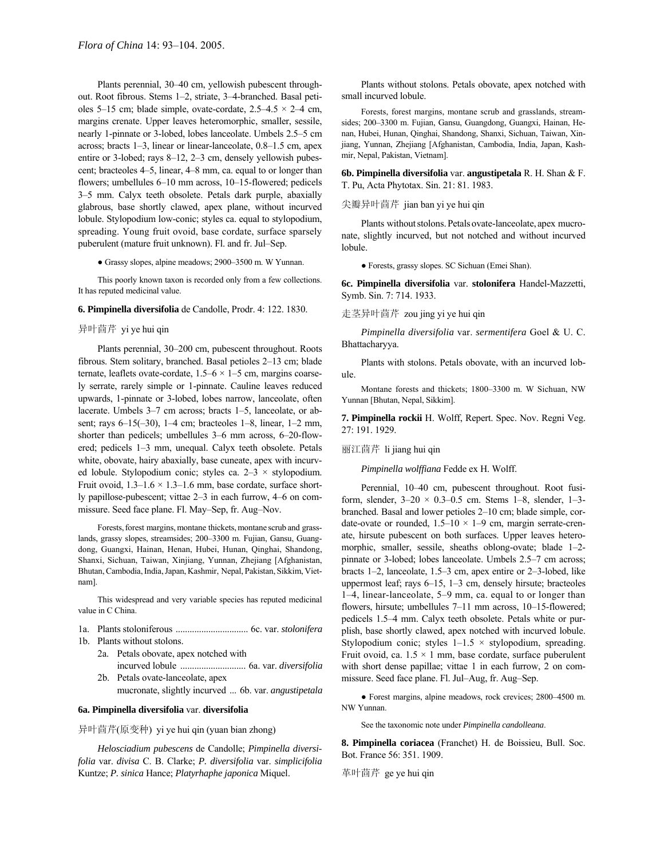Plants perennial, 30-40 cm, yellowish pubescent throughout. Root fibrous. Stems 1–2, striate, 3–4-branched. Basal petioles 5–15 cm; blade simple, ovate-cordate,  $2.5-4.5 \times 2-4$  cm, margins crenate. Upper leaves heteromorphic, smaller, sessile, nearly 1-pinnate or 3-lobed, lobes lanceolate. Umbels 2.5–5 cm across; bracts  $1-3$ , linear or linear-lanceolate,  $0.8-1.5$  cm, apex entire or 3-lobed; rays  $8-12$ ,  $2-3$  cm, densely yellowish pubescent; bracteoles 4–5, linear, 4–8 mm, ca. equal to or longer than flowers; umbellules  $6-10$  mm across,  $10-15$ -flowered; pedicels 3–5 mm. Calyx teeth obsolete. Petals dark purple, abaxially glabrous, base shortly clawed, apex plane, without incurved lobule. Stylopodium low-conic; styles ca. equal to stylopodium, spreading. Young fruit ovoid, base cordate, surface sparsely puberulent (mature fruit unknown). Fl. and fr. Jul-Sep.

• Grassy slopes, alpine meadows; 2900–3500 m. W Yunnan.

This poorly known taxon is recorded only from a few collections. It has reputed medicinal value.

# **6. Pimpinella diversifolia** de Candolle, Prodr. 4: 122. 1830.

# 异叶茴芹 yi ye hui qin

Plants perennial, 30–200 cm, pubescent throughout. Roots fibrous. Stem solitary, branched. Basal petioles 2-13 cm; blade ternate, leaflets ovate-cordate,  $1.5–6 \times 1–5$  cm, margins coarsely serrate, rarely simple or 1-pinnate. Cauline leaves reduced upwards, 1-pinnate or 3-lobed, lobes narrow, lanceolate, often lacerate. Umbels 3–7 cm across; bracts 1–5, lanceolate, or absent; rays  $6-15(-30)$ ,  $1-4$  cm; bracteoles  $1-8$ , linear,  $1-2$  mm, shorter than pedicels; umbellules 3–6 mm across, 6–20-flowered; pedicels 1-3 mm, unequal. Calyx teeth obsolete. Petals white, obovate, hairy abaxially, base cuneate, apex with incurved lobule. Stylopodium conic; styles ca.  $2-3 \times$  stylopodium. Fruit ovoid,  $1.3-1.6 \times 1.3-1.6$  mm, base cordate, surface shortly papillose-pubescent; vittae  $2-3$  in each furrow,  $4-6$  on commissure. Seed face plane. Fl. May–Sep, fr. Aug–Nov.

Forests, forest margins, montane thickets, montane scrub and grasslands, grassy slopes, streamsides; 200-3300 m. Fujian, Gansu, Guangdong, Guangxi, Hainan, Henan, Hubei, Hunan, Qinghai, Shandong, Shanxi, Sichuan, Taiwan, Xinjiang, Yunnan, Zhejiang [Afghanistan, Bhutan,Cambodia,India,Japan, Kashmir, Nepal, Pakistan, Sikkim, Vietnam].

This widespread and very variable species has reputed medicinal value in C China.

- 1a. Plants stoloniferous ............................... 6c. var. *stolonifera* 1b. Plants without stolons.
	- 2a. Petals obovate, apex notched with
		- incurved lobule ............................ 6a. var. *diversifolia* 2b. Petals ovate-lanceolate, apex
			- mucronate, slightly incurved ... 6b. var. *angustipetala*

# **6a. Pimpinella diversifolia** var. **diversifolia**

异叶茴芹(原变种) yi ye hui qin (yuan bian zhong)

*Helosciadium pubescens* de Candolle; *Pimpinella diversifolia* var. *divisa* C. B. Clarke; *P. diversifolia* var. *simplicifolia*  Kuntze; *P. sinica* Hance; *Platyrhaphe japonica* Miquel.

Plants without stolons. Petals obovate, apex notched with small incurved lobule.

Forests, forest margins, montane scrub and grasslands, streamsides; 200-3300 m. Fujian, Gansu, Guangdong, Guangxi, Hainan, Henan, Hubei, Hunan, Qinghai, Shandong, Shanxi, Sichuan, Taiwan, Xinjiang, Yunnan, Zhejiang [Afghanistan, Cambodia, India, Japan, Kashmir, Nepal, Pakistan, Vietnam].

**6b. Pimpinella diversifolia** var. **angustipetala** R. H. Shan & F. T. Pu, Acta Phytotax. Sin. 21: 81. 1983.

# 尖瓣异叶茴芹 jian ban yi ye hui qin

Plants without stolons. Petals ovate-lanceolate, apex mucronate, slightly incurved, but not notched and without incurved lobule.

● Forests, grassy slopes. SC Sichuan (Emei Shan).

**6c. Pimpinella diversifolia** var. **stolonifera** Handel-Mazzetti, Symb. Sin. 7: 714. 1933.

# 走茎异叶茴芹 zou jing yi ye hui qin

*Pimpinella diversifolia* var. *sermentifera* Goel & U. C. Bhattacharyya.

Plants with stolons. Petals obovate, with an incurved lobule.

Montane forests and thickets; 1800–3300 m. W Sichuan, NW Yunnan [Bhutan, Nepal, Sikkim].

**7. Pimpinella rockii** H. Wolff, Repert. Spec. Nov. Regni Veg. 27: 191. 1929.

# 丽江茴芹 li jiang hui qin

*Pimpinella wolffiana* Fedde ex H. Wolff.

Perennial, 10-40 cm, pubescent throughout. Root fusiform, slender,  $3-20 \times 0.3-0.5$  cm. Stems 1-8, slender, 1-3branched. Basal and lower petioles 2–10 cm; blade simple, cordate-ovate or rounded,  $1.5-10 \times 1-9$  cm, margin serrate-crenate, hirsute pubescent on both surfaces. Upper leaves heteromorphic, smaller, sessile, sheaths oblong-ovate; blade 1-2pinnate or 3-lobed; lobes lanceolate. Umbels 2.5–7 cm across; bracts  $1-2$ , lanceolate,  $1.5-3$  cm, apex entire or  $2-3$ -lobed, like uppermost leaf; rays  $6-15$ ,  $1-3$  cm, densely hirsute; bracteoles  $1-4$ , linear-lanceolate,  $5-9$  mm, ca. equal to or longer than flowers, hirsute; umbellules 7-11 mm across, 10-15-flowered; pedicels 1.5-4 mm. Calyx teeth obsolete. Petals white or purplish, base shortly clawed, apex notched with incurved lobule. Stylopodium conic; styles  $1-1.5 \times$  stylopodium, spreading. Fruit ovoid, ca.  $1.5 \times 1$  mm, base cordate, surface puberulent with short dense papillae; vittae 1 in each furrow, 2 on commissure. Seed face plane. Fl. Jul-Aug, fr. Aug-Sep.

● Forest margins, alpine meadows, rock crevices; 2800-4500 m. NW Yunnan.

See the taxonomic note under *Pimpinella candolleana*.

**8. Pimpinella coriacea** (Franchet) H. de Boissieu, Bull. Soc. Bot. France 56: 351. 1909.

革叶茴芹 ge ye hui qin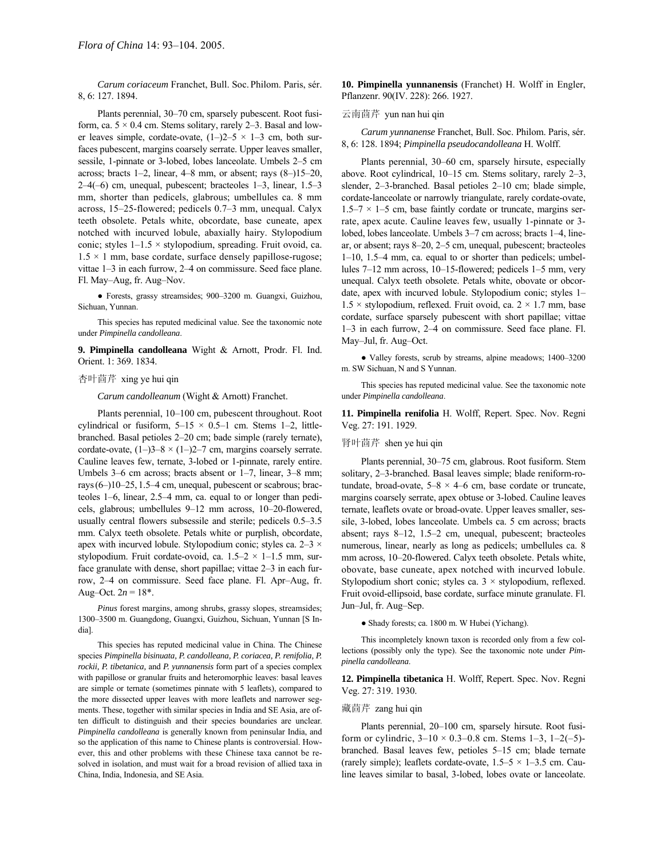*Carum coriaceum* Franchet, Bull. Soc. Philom. Paris, sÈr. 8, 6: 127. 1894.

Plants perennial, 30-70 cm, sparsely pubescent. Root fusiform, ca.  $5 \times 0.4$  cm. Stems solitary, rarely 2–3. Basal and lower leaves simple, cordate-ovate,  $(1-)2-5 \times 1-3$  cm, both surfaces pubescent, margins coarsely serrate. Upper leaves smaller, sessile, 1-pinnate or 3-lobed, lobes lanceolate. Umbels 2-5 cm across; bracts 1–2, linear, 4–8 mm, or absent; rays  $(8–)15–20$ ,  $2-4(-6)$  cm, unequal, pubescent; bracteoles  $1-3$ , linear,  $1.5-3$ mm, shorter than pedicels, glabrous; umbellules ca. 8 mm across,  $15-25$ -flowered; pedicels 0.7 $-3$  mm, unequal. Calyx teeth obsolete. Petals white, obcordate, base cuneate, apex notched with incurved lobule, abaxially hairy. Stylopodium conic; styles  $1-1.5 \times$  stylopodium, spreading. Fruit ovoid, ca.  $1.5 \times 1$  mm, base cordate, surface densely papillose-rugose; vittae  $1-3$  in each furrow,  $2-4$  on commissure. Seed face plane. Fl. May-Aug, fr. Aug-Nov.

· Forests, grassy streamsides; 900-3200 m. Guangxi, Guizhou, Sichuan, Yunnan.

This species has reputed medicinal value. See the taxonomic note under *Pimpinella candolleana*.

**9. Pimpinella candolleana** Wight & Arnott, Prodr. Fl. Ind. Orient. 1: 369. 1834.

#### 杏叶茴芹 xing ye hui qin

*Carum candolleanum* (Wight & Arnott) Franchet.

Plants perennial, 10-100 cm, pubescent throughout. Root cylindrical or fusiform,  $5-15 \times 0.5-1$  cm. Stems 1-2, littlebranched. Basal petioles 2–20 cm; bade simple (rarely ternate), cordate-ovate,  $(1-)3-8 \times (1-)2-7$  cm, margins coarsely serrate. Cauline leaves few, ternate, 3-lobed or 1-pinnate, rarely entire. Umbels 3–6 cm across; bracts absent or  $1-7$ , linear, 3–8 mm; rays $(6–)10–25, 1.5–4$  cm, unequal, pubescent or scabrous; bracteoles  $1-6$ , linear,  $2.5-4$  mm, ca. equal to or longer than pedicels, glabrous; umbellules 9–12 mm across, 10–20-flowered, usually central flowers subsessile and sterile; pedicels  $0.5-3.5$ mm. Calyx teeth obsolete. Petals white or purplish, obcordate, apex with incurved lobule. Stylopodium conic; styles ca.  $2-3 \times$ stylopodium. Fruit cordate-ovoid, ca.  $1.5-2 \times 1-1.5$  mm, surface granulate with dense, short papillae; vittae  $2-3$  in each furrow, 2–4 on commissure. Seed face plane. Fl. Apr–Aug, fr. Aug–Oct.  $2n = 18^*$ .

*Pinus* forest margins, among shrubs, grassy slopes, streamsides; 1300-3500 m. Guangdong, Guangxi, Guizhou, Sichuan, Yunnan [S India].

This species has reputed medicinal value in China. The Chinese species *Pimpinella bisinuata, P. candolleana, P. coriacea, P. renifolia, P. rockii, P. tibetanica,* and *P. yunnanensis* form part of a species complex with papillose or granular fruits and heteromorphic leaves: basal leaves are simple or ternate (sometimes pinnate with 5 leaflets), compared to the more dissected upper leaves with more leaflets and narrower segments. These, together with similar species in India and SE Asia, are often difficult to distinguish and their species boundaries are unclear. *Pimpinella candolleana* is generally known from peninsular India, and so the application of this name to Chinese plants is controversial. However, this and other problems with these Chinese taxa cannot be resolved in isolation, and must wait for a broad revision of allied taxa in China, India, Indonesia, and SE Asia.

**10. Pimpinella yunnanensis** (Franchet) H. Wolff in Engler, Pflanzenr. 90(IV. 228): 266. 1927.

# 云南茴芹 yun nan hui qin

*Carum yunnanense* Franchet, Bull. Soc. Philom. Paris, sÈr. 8, 6: 128. 1894; *Pimpinella pseudocandolleana* H. Wolff.

Plants perennial, 30–60 cm, sparsely hirsute, especially above. Root cylindrical,  $10-15$  cm. Stems solitary, rarely  $2-3$ , slender, 2-3-branched. Basal petioles 2-10 cm; blade simple, cordate-lanceolate or narrowly triangulate, rarely cordate-ovate,  $1.5-7 \times 1-5$  cm, base faintly cordate or truncate, margins serrate, apex acute. Cauline leaves few, usually 1-pinnate or 3 lobed, lobes lanceolate. Umbels 3-7 cm across; bracts 1-4, linear, or absent; rays 8-20, 2-5 cm, unequal, pubescent; bracteoles  $1-10$ , 1.5 $-4$  mm, ca. equal to or shorter than pedicels; umbellules 7-12 mm across, 10-15-flowered; pedicels 1-5 mm, very unequal. Calyx teeth obsolete. Petals white, obovate or obcordate, apex with incurved lobule. Stylopodium conic; styles 1- $1.5 \times$  stylopodium, reflexed. Fruit ovoid, ca.  $2 \times 1.7$  mm, base cordate, surface sparsely pubescent with short papillae; vittae 1–3 in each furrow, 2–4 on commissure. Seed face plane. Fl. May-Jul, fr. Aug-Oct.

• Valley forests, scrub by streams, alpine meadows; 1400-3200 m. SW Sichuan, N and S Yunnan.

This species has reputed medicinal value. See the taxonomic note under *Pimpinella candolleana*.

**11. Pimpinella renifolia** H. Wolff, Repert. Spec. Nov. Regni Veg. 27: 191. 1929.

### 肾叶茴芹 shen ye hui qin

Plants perennial, 30–75 cm, glabrous. Root fusiform. Stem solitary, 2–3-branched. Basal leaves simple; blade reniform-rotundate, broad-ovate,  $5-8 \times 4-6$  cm, base cordate or truncate, margins coarsely serrate, apex obtuse or 3-lobed. Cauline leaves ternate, leaflets ovate or broad-ovate. Upper leaves smaller, sessile, 3-lobed, lobes lanceolate. Umbels ca. 5 cm across; bracts absent; rays 8-12, 1.5-2 cm, unequal, pubescent; bracteoles numerous, linear, nearly as long as pedicels; umbellules ca. 8 mm across, 10-20-flowered. Calyx teeth obsolete. Petals white, obovate, base cuneate, apex notched with incurved lobule. Stylopodium short conic; styles ca.  $3 \times$  stylopodium, reflexed. Fruit ovoid-ellipsoid, base cordate, surface minute granulate. Fl. Jun-Jul, fr. Aug-Sep.

● Shady forests; ca. 1800 m. W Hubei (Yichang).

This incompletely known taxon is recorded only from a few collections (possibly only the type). See the taxonomic note under *Pimpinella candolleana*.

**12. Pimpinella tibetanica** H. Wolff, Repert. Spec. Nov. Regni Veg. 27: 319. 1930.

#### 藏茴芹 zang hui qin

Plants perennial, 20-100 cm, sparsely hirsute. Root fusiform or cylindric,  $3-10 \times 0.3-0.8$  cm. Stems  $1-3$ ,  $1-2(-5)$ branched. Basal leaves few, petioles 5-15 cm; blade ternate (rarely simple); leaflets cordate-ovate,  $1.5-5 \times 1-3.5$  cm. Cauline leaves similar to basal, 3-lobed, lobes ovate or lanceolate.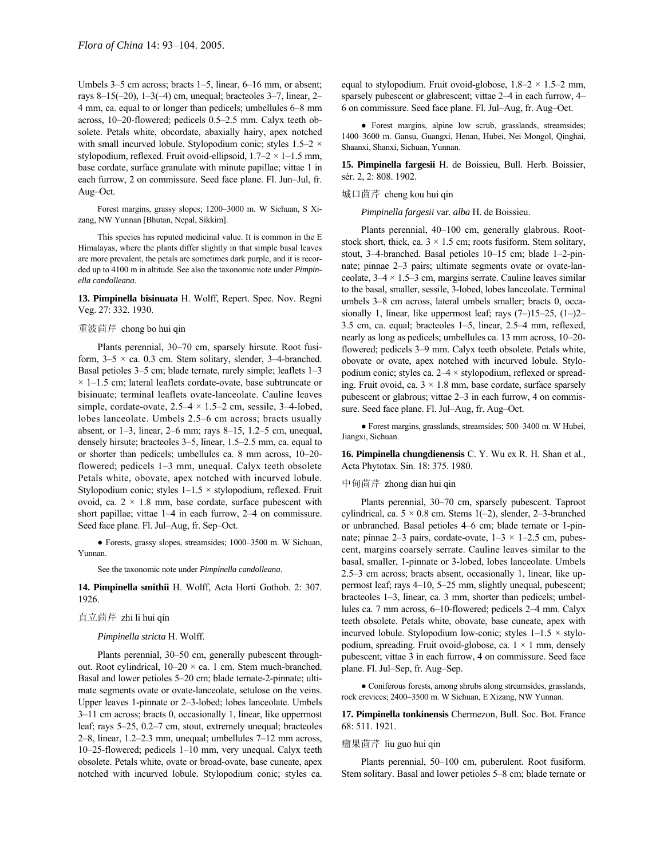Umbels  $3-5$  cm across; bracts  $1-5$ , linear,  $6-16$  mm, or absent; rays 8–15(–20), 1–3(–4) cm, unequal; bracteoles 3–7, linear, 2– 4 mm, ca. equal to or longer than pedicels; umbellules 6–8 mm across,  $10-20$ -flowered; pedicels  $0.5-2.5$  mm. Calyx teeth obsolete. Petals white, obcordate, abaxially hairy, apex notched with small incurved lobule. Stylopodium conic; styles  $1.5-2 \times$ stylopodium, reflexed. Fruit ovoid-ellipsoid,  $1.7-2 \times 1-1.5$  mm, base cordate, surface granulate with minute papillae; vittae 1 in each furrow, 2 on commissure. Seed face plane. Fl. Jun-Jul, fr. Aug-Oct.

Forest margins, grassy slopes; 1200-3000 m. W Sichuan, S Xizang, NW Yunnan [Bhutan, Nepal, Sikkim].

This species has reputed medicinal value. It is common in the E Himalayas, where the plants differ slightly in that simple basal leaves are more prevalent, the petals are sometimes dark purple, and it is recorded up to 4100 m in altitude. See also the taxonomic note under *Pimpinella candolleana*.

**13. Pimpinella bisinuata** H. Wolff, Repert. Spec. Nov. Regni Veg. 27: 332. 1930.

# 重波茴芹 chong bo hui qin

Plants perennial, 30-70 cm, sparsely hirsute. Root fusiform,  $3-5 \times ca$ . 0.3 cm. Stem solitary, slender, 3-4-branched. Basal petioles  $3-5$  cm; blade ternate, rarely simple; leaflets  $1-3$  $\times$  1–1.5 cm; lateral leaflets cordate-ovate, base subtruncate or bisinuate; terminal leaflets ovate-lanceolate. Cauline leaves simple, cordate-ovate,  $2.5-4 \times 1.5-2$  cm, sessile, 3-4-lobed, lobes lanceolate. Umbels 2.5–6 cm across; bracts usually absent, or  $1-3$ , linear,  $2-6$  mm; rays  $8-15$ ,  $1.2-5$  cm, unequal, densely hirsute; bracteoles  $3-5$ , linear,  $1.5-2.5$  mm, ca. equal to or shorter than pedicels; umbellules ca. 8 mm across,  $10-20$ flowered; pedicels  $1-3$  mm, unequal. Calyx teeth obsolete Petals white, obovate, apex notched with incurved lobule. Stylopodium conic; styles  $1-1.5 \times$  stylopodium, reflexed. Fruit ovoid, ca.  $2 \times 1.8$  mm, base cordate, surface pubescent with short papillae; vittae  $1-4$  in each furrow,  $2-4$  on commissure. Seed face plane. Fl. Jul–Aug, fr. Sep–Oct.

 $\bullet$  Forests, grassy slopes, streamsides; 1000–3500 m. W Sichuan, Yunnan.

See the taxonomic note under *Pimpinella candolleana*.

**14. Pimpinella smithii** H. Wolff, Acta Horti Gothob. 2: 307. 1926.

### 直立茴芹 zhi li hui qin

# *Pimpinella stricta* H. Wolff.

Plants perennial, 30-50 cm, generally pubescent throughout. Root cylindrical,  $10-20 \times$  ca. 1 cm. Stem much-branched. Basal and lower petioles 5-20 cm; blade ternate-2-pinnate; ultimate segments ovate or ovate-lanceolate, setulose on the veins. Upper leaves 1-pinnate or 2-3-lobed; lobes lanceolate. Umbels 3–11 cm across; bracts 0, occasionally 1, linear, like uppermost leaf; rays  $5-25$ ,  $0.2-7$  cm, stout, extremely unequal; bracteoles  $2-8$ , linear, 1.2–2.3 mm, unequal; umbellules  $7-12$  mm across, 10-25-flowered; pedicels 1-10 mm, very unequal. Calyx teeth obsolete. Petals white, ovate or broad-ovate, base cuneate, apex notched with incurved lobule. Stylopodium conic; styles ca. equal to stylopodium. Fruit ovoid-globose,  $1.8-2 \times 1.5-2$  mm, sparsely pubescent or glabrescent; vittae 2–4 in each furrow, 4– 6 on commissure. Seed face plane. Fl. Jul-Aug, fr. Aug-Oct.

● Forest margins, alpine low scrub, grasslands, streamsides; 1400-3600 m. Gansu, Guangxi, Henan, Hubei, Nei Mongol, Qinghai, Shaanxi, Shanxi, Sichuan, Yunnan.

**15. Pimpinella fargesii** H. de Boissieu, Bull. Herb. Boissier, sér. 2, 2: 808. 1902.

### 城口茴芹 cheng kou hui qin

*Pimpinella fargesii* var. *alba* H. de Boissieu.

Plants perennial, 40-100 cm, generally glabrous. Rootstock short, thick, ca.  $3 \times 1.5$  cm; roots fusiform. Stem solitary, stout, 3-4-branched. Basal petioles 10-15 cm; blade 1-2-pinnate; pinnae 2–3 pairs; ultimate segments ovate or ovate-lanceolate,  $3-4 \times 1.5-3$  cm, margins serrate. Cauline leaves similar to the basal, smaller, sessile, 3-lobed, lobes lanceolate. Terminal umbels 3–8 cm across, lateral umbels smaller; bracts 0, occasionally 1, linear, like uppermost leaf; rays  $(7–)15–25$ ,  $(1–)2–$  $3.5$  cm, ca. equal; bracteoles  $1-5$ , linear,  $2.5-4$  mm, reflexed, nearly as long as pedicels; umbellules ca. 13 mm across, 10–20flowered: pedicels 3–9 mm. Calyx teeth obsolete. Petals white, obovate or ovate, apex notched with incurved lobule. Stylopodium conic; styles ca.  $2-4 \times$  stylopodium, reflexed or spreading. Fruit ovoid, ca.  $3 \times 1.8$  mm, base cordate, surface sparsely pubescent or glabrous; vittae  $2-3$  in each furrow, 4 on commissure. Seed face plane. Fl. Jul–Aug, fr. Aug–Oct.

 $\bullet$  Forest margins, grasslands, streamsides; 500–3400 m. W Hubei, Jiangxi, Sichuan.

**16. Pimpinella chungdienensis** C. Y. Wu ex R. H. Shan et al., Acta Phytotax. Sin. 18: 375. 1980.

# 中甸茴芹 zhong dian hui qin

Plants perennial, 30-70 cm, sparsely pubescent. Taproot cylindrical, ca.  $5 \times 0.8$  cm. Stems 1(-2), slender, 2-3-branched or unbranched. Basal petioles 4–6 cm; blade ternate or 1-pinnate; pinnae 2–3 pairs, cordate-ovate,  $1-3 \times 1-2.5$  cm, pubescent, margins coarsely serrate. Cauline leaves similar to the basal, smaller, 1-pinnate or 3-lobed, lobes lanceolate. Umbels  $2.5-3$  cm across; bracts absent, occasionally 1, linear, like uppermost leaf; rays  $4-10$ ,  $5-25$  mm, slightly unequal, pubescent; bracteoles  $1-3$ , linear, ca. 3 mm, shorter than pedicels; umbellules ca. 7 mm across, 6–10-flowered; pedicels 2–4 mm. Calyx teeth obsolete. Petals white, obovate, base cuneate, apex with incurved lobule. Stylopodium low-conic; styles  $1-1.5 \times$  stylopodium, spreading. Fruit ovoid-globose, ca.  $1 \times 1$  mm, densely pubescent; vittae 3 in each furrow, 4 on commissure. Seed face plane. Fl. Jul–Sep, fr. Aug–Sep.

● Coniferous forests, among shrubs along streamsides, grasslands, rock crevices; 2400-3500 m. W Sichuan, E Xizang, NW Yunnan.

**17. Pimpinella tonkinensis** Chermezon, Bull. Soc. Bot. France 68: 511. 1921.

# 瘤果茴芹 liu guo hui qin

Plants perennial, 50-100 cm, puberulent. Root fusiform. Stem solitary. Basal and lower petioles 5–8 cm; blade ternate or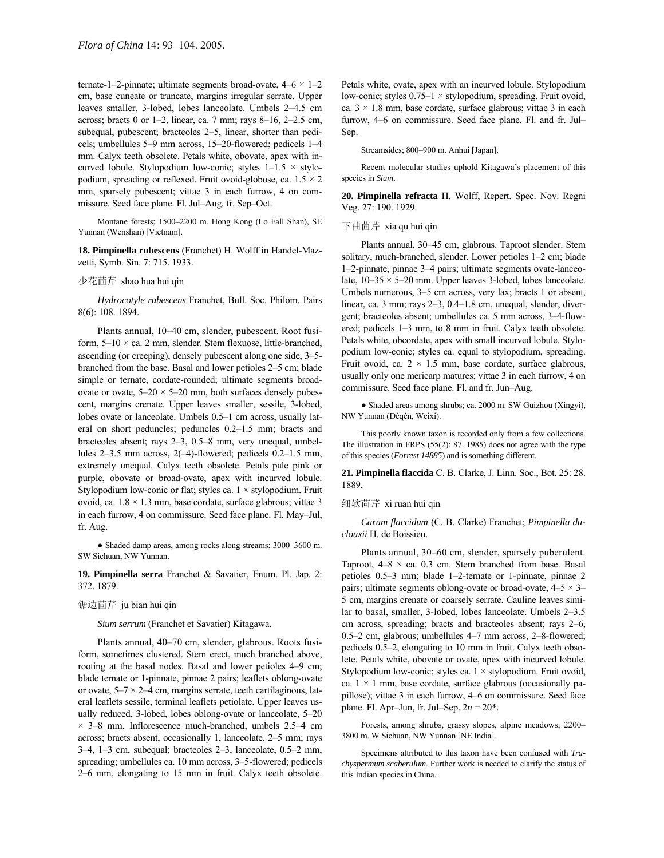ternate-1-2-pinnate; ultimate segments broad-ovate,  $4-6 \times 1-2$ cm, base cuneate or truncate, margins irregular serrate. Upper leaves smaller, 3-lobed, lobes lanceolate. Umbels 2-4.5 cm across; bracts 0 or 1–2, linear, ca. 7 mm; rays 8–16, 2–2.5 cm, subequal, pubescent; bracteoles 2–5, linear, shorter than pedicels; umbellules 5-9 mm across, 15-20-flowered; pedicels 1-4 mm. Calyx teeth obsolete. Petals white, obovate, apex with incurved lobule. Stylopodium low-conic; styles  $1-1.5 \times$  stylopodium, spreading or reflexed. Fruit ovoid-globose, ca.  $1.5 \times 2$ mm, sparsely pubescent; vittae 3 in each furrow, 4 on commissure. Seed face plane. Fl. Jul-Aug, fr. Sep-Oct.

Montane forests; 1500-2200 m. Hong Kong (Lo Fall Shan), SE Yunnan (Wenshan) [Vietnam].

**18. Pimpinella rubescens** (Franchet) H. Wolff in Handel-Mazzetti, Symb. Sin. 7: 715. 1933.

# 少花茴芹 shao hua hui qin

*Hydrocotyle rubescens* Franchet, Bull. Soc. Philom. Pairs 8(6): 108. 1894.

Plants annual, 10-40 cm, slender, pubescent. Root fusiform,  $5-10 \times$  ca. 2 mm, slender. Stem flexuose, little-branched, ascending (or creeping), densely pubescent along one side, 3-5branched from the base. Basal and lower petioles 2-5 cm; blade simple or ternate, cordate-rounded; ultimate segments broadovate or ovate,  $5-20 \times 5-20$  mm, both surfaces densely pubescent, margins crenate. Upper leaves smaller, sessile, 3-lobed, lobes ovate or lanceolate. Umbels 0.5-1 cm across, usually lateral on short peduncles; peduncles  $0.2-1.5$  mm; bracts and bracteoles absent; rays 2-3, 0.5-8 mm, very unequal, umbellules  $2-3.5$  mm across,  $2(-4)$ -flowered; pedicels 0.2-1.5 mm, extremely unequal. Calyx teeth obsolete. Petals pale pink or purple, obovate or broad-ovate, apex with incurved lobule. Stylopodium low-conic or flat; styles ca.  $1 \times$  stylopodium. Fruit ovoid, ca.  $1.8 \times 1.3$  mm, base cordate, surface glabrous; vittae 3 in each furrow, 4 on commissure. Seed face plane. Fl. May-Jul, fr. Aug.

• Shaded damp areas, among rocks along streams; 3000-3600 m. SW Sichuan, NW Yunnan.

**19. Pimpinella serra** Franchet & Savatier, Enum. Pl. Jap. 2: 372. 1879.

#### 锯边茴芹 ju bian hui qin

*Sium serrum* (Franchet et Savatier) Kitagawa.

Plants annual, 40-70 cm, slender, glabrous. Roots fusiform, sometimes clustered. Stem erect, much branched above, rooting at the basal nodes. Basal and lower petioles 4–9 cm; blade ternate or 1-pinnate, pinnae 2 pairs; leaflets oblong-ovate or ovate,  $5-7 \times 2-4$  cm, margins serrate, teeth cartilaginous, lateral leaflets sessile, terminal leaflets petiolate. Upper leaves usually reduced, 3-lobed, lobes oblong-ovate or lanceolate, 5-20  $\times$  3–8 mm. Inflorescence much-branched, umbels 2.5–4 cm across; bracts absent, occasionally 1, lanceolate,  $2-5$  mm; rays  $3-4$ ,  $1-3$  cm, subequal; bracteoles  $2-3$ , lanceolate,  $0.5-2$  mm, spreading; umbellules ca. 10 mm across, 3-5-flowered; pedicels 2–6 mm, elongating to 15 mm in fruit. Calyx teeth obsolete.

Petals white, ovate, apex with an incurved lobule. Stylopodium low-conic; styles  $0.75-1 \times$  stylopodium, spreading. Fruit ovoid, ca.  $3 \times 1.8$  mm, base cordate, surface glabrous; vittae 3 in each furrow, 4–6 on commissure. Seed face plane. Fl. and fr. Jul– Sep.

Streamsides; 800-900 m. Anhui [Japan].

Recent molecular studies uphold Kitagawa's placement of this species in *Sium*.

**20. Pimpinella refracta** H. Wolff, Repert. Spec. Nov. Regni Veg. 27: 190. 1929.

# 下曲茴芹 xia qu hui qin

Plants annual, 30–45 cm, glabrous. Taproot slender. Stem solitary, much-branched, slender. Lower petioles 1-2 cm; blade 1–2-pinnate, pinnae 3–4 pairs; ultimate segments ovate-lanceolate,  $10-35 \times 5-20$  mm. Upper leaves 3-lobed, lobes lanceolate. Umbels numerous, 3-5 cm across, very lax; bracts 1 or absent, linear, ca. 3 mm; rays 2-3, 0.4-1.8 cm, unequal, slender, divergent; bracteoles absent; umbellules ca. 5 mm across, 3-4-flowered; pedicels 1–3 mm, to 8 mm in fruit. Calyx teeth obsolete. Petals white, obcordate, apex with small incurved lobule. Stylopodium low-conic; styles ca. equal to stylopodium, spreading. Fruit ovoid, ca.  $2 \times 1.5$  mm, base cordate, surface glabrous, usually only one mericarp matures; vittae 3 in each furrow, 4 on commissure. Seed face plane. Fl. and fr. Jun-Aug.

● Shaded areas among shrubs; ca. 2000 m. SW Guizhou (Xingyi), NW Yunnan (Dêqên, Weixi).

This poorly known taxon is recorded only from a few collections. The illustration in FRPS (55(2): 87. 1985) does not agree with the type of this species (*Forrest 14885*) and is something different.

**21. Pimpinella flaccida** C. B. Clarke, J. Linn. Soc., Bot. 25: 28. 1889.

#### 细软茴芹 xi ruan hui qin

*Carum flaccidum* (C. B. Clarke) Franchet; *Pimpinella duclouxii* H. de Boissieu.

Plants annual, 30–60 cm, slender, sparsely puberulent. Taproot,  $4-8 \times ca$ . 0.3 cm. Stem branched from base. Basal petioles 0.5–3 mm; blade 1–2-ternate or 1-pinnate, pinnae 2 pairs; ultimate segments oblong-ovate or broad-ovate,  $4-5 \times 3$ 5 cm, margins crenate or coarsely serrate. Cauline leaves similar to basal, smaller, 3-lobed, lobes lanceolate. Umbels  $2-3.5$ cm across, spreading; bracts and bracteoles absent; rays 2-6, 0.5 $-2$  cm, glabrous; umbellules 4 $-7$  mm across, 2 $-8$ -flowered; pedicels 0.5–2, elongating to 10 mm in fruit. Calyx teeth obsolete. Petals white, obovate or ovate, apex with incurved lobule. Stylopodium low-conic; styles ca.  $1 \times$  stylopodium. Fruit ovoid, ca.  $1 \times 1$  mm, base cordate, surface glabrous (occasionally papillose); vittae 3 in each furrow, 4-6 on commissure. Seed face plane. Fl. Apr-Jun, fr. Jul-Sep.  $2n = 20^*$ .

Forests, among shrubs, grassy slopes, alpine meadows; 2200-3800 m. W Sichuan, NW Yunnan [NE India].

Specimens attributed to this taxon have been confused with *Trachyspermum scaberulum*. Further work is needed to clarify the status of this Indian species in China.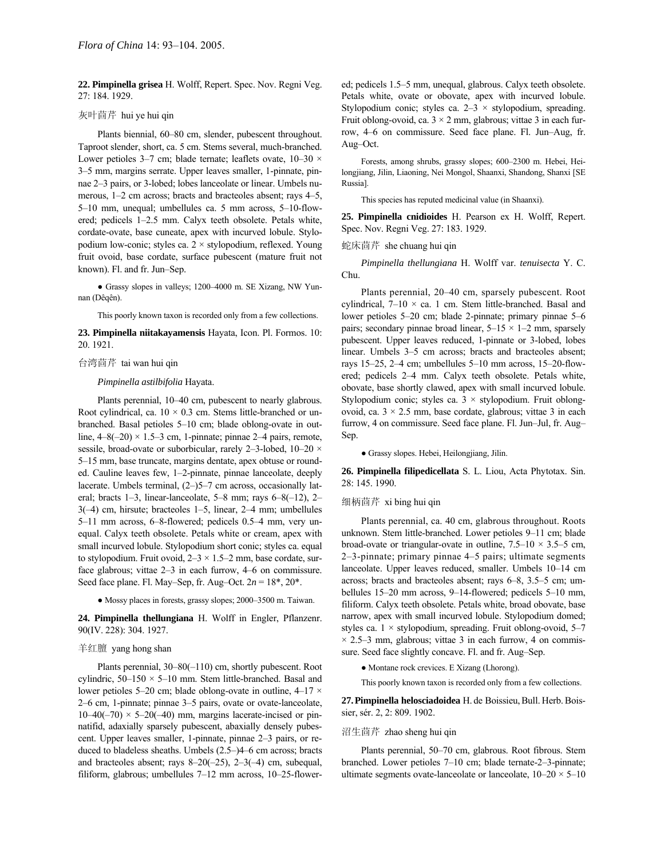**22. Pimpinella grisea** H. Wolff, Repert. Spec. Nov. Regni Veg. 27: 184. 1929.

# 灰叶茴芹 hui ye hui qin

Plants biennial, 60–80 cm, slender, pubescent throughout. Taproot slender, short, ca. 5 cm. Stems several, much-branched. Lower petioles 3–7 cm; blade ternate; leaflets ovate,  $10-30 \times$ 3–5 mm, margins serrate. Upper leaves smaller, 1-pinnate, pinnae 2-3 pairs, or 3-lobed; lobes lanceolate or linear. Umbels numerous, 1-2 cm across; bracts and bracteoles absent; rays 4-5, 5-10 mm, unequal; umbellules ca. 5 mm across, 5-10-flowered; pedicels 1–2.5 mm. Calyx teeth obsolete. Petals white, cordate-ovate, base cuneate, apex with incurved lobule. Stylopodium low-conic; styles ca. 2 × stylopodium, reflexed. Young fruit ovoid, base cordate, surface pubescent (mature fruit not known). Fl. and fr. Jun-Sep.

• Grassy slopes in valleys; 1200-4000 m. SE Xizang, NW Yunnan (Dêqên).

This poorly known taxon is recorded only from a few collections.

**23. Pimpinella niitakayamensis** Hayata, Icon. Pl. Formos. 10: 20. 1921.

# 台湾茴芹 tai wan hui qin

### *Pimpinella astilbifolia* Hayata.

Plants perennial, 10–40 cm, pubescent to nearly glabrous. Root cylindrical, ca.  $10 \times 0.3$  cm. Stems little-branched or unbranched. Basal petioles 5–10 cm; blade oblong-ovate in outline,  $4-8(-20) \times 1.5-3$  cm, 1-pinnate; pinnae 2-4 pairs, remote, sessile, broad-ovate or suborbicular, rarely 2-3-lobed,  $10-20 \times$ 5–15 mm, base truncate, margins dentate, apex obtuse or rounded. Cauline leaves few, 1-2-pinnate, pinnae lanceolate, deeply lacerate. Umbels terminal,  $(2-)$ 5-7 cm across, occasionally lateral; bracts 1–3, linear-lanceolate, 5–8 mm; rays  $6-8(-12)$ , 2–  $3(-4)$  cm, hirsute; bracteoles 1–5, linear, 2–4 mm; umbellules 5-11 mm across, 6-8-flowered; pedicels 0.5-4 mm, very unequal. Calyx teeth obsolete. Petals white or cream, apex with small incurved lobule. Stylopodium short conic; styles ca. equal to stylopodium. Fruit ovoid,  $2-3 \times 1.5-2$  mm, base cordate, surface glabrous; vittae  $2-3$  in each furrow,  $4-6$  on commissure. Seed face plane. Fl. May–Sep, fr. Aug–Oct.  $2n = 18^*$ ,  $20^*$ .

 $\bullet$  Mossy places in forests, grassy slopes; 2000–3500 m. Taiwan.

**24. Pimpinella thellungiana** H. Wolff in Engler, Pflanzenr. 90(IV. 228): 304. 1927.

# 羊红膻 yang hong shan

Plants perennial,  $30-80(-110)$  cm, shortly pubescent. Root cylindric,  $50-150 \times 5-10$  mm. Stem little-branched. Basal and lower petioles 5–20 cm; blade oblong-ovate in outline,  $4-17 \times$ 2–6 cm, 1-pinnate; pinnae 3–5 pairs, ovate or ovate-lanceolate,  $10-40(-70) \times 5-20(-40)$  mm, margins lacerate-incised or pinnatifid, adaxially sparsely pubescent, abaxially densely pubescent. Upper leaves smaller, 1-pinnate, pinnae 2-3 pairs, or reduced to bladeless sheaths. Umbels  $(2.5–)4–6$  cm across; bracts and bracteoles absent; rays  $8-20(-25)$ ,  $2-3(-4)$  cm, subequal, filiform, glabrous; umbellules  $7-12$  mm across,  $10-25$ -flowered; pedicels 1.5-5 mm, unequal, glabrous. Calyx teeth obsolete. Petals white, ovate or obovate, apex with incurved lobule. Stylopodium conic; styles ca.  $2-3 \times$  stylopodium, spreading. Fruit oblong-ovoid, ca.  $3 \times 2$  mm, glabrous; vittae 3 in each furrow, 4–6 on commissure. Seed face plane. Fl. Jun–Aug, fr. Aug-Oct.

Forests, among shrubs, grassy slopes; 600-2300 m. Hebei, Heilongjiang, Jilin, Liaoning, Nei Mongol, Shaanxi, Shandong, Shanxi [SE Russia].

This species has reputed medicinal value (in Shaanxi).

**25. Pimpinella cnidioides** H. Pearson ex H. Wolff, Repert. Spec. Nov. Regni Veg. 27: 183. 1929.

蛇床茴芹 she chuang hui qin

*Pimpinella thellungiana* H. Wolff var. *tenuisecta* Y. C. Chu.

Plants perennial, 20-40 cm, sparsely pubescent. Root cylindrical,  $7-10 \times$  ca. 1 cm. Stem little-branched. Basal and lower petioles 5–20 cm; blade 2-pinnate; primary pinnae 5–6 pairs; secondary pinnae broad linear,  $5-15 \times 1-2$  mm, sparsely pubescent. Upper leaves reduced, 1-pinnate or 3-lobed, lobes linear. Umbels 3–5 cm across; bracts and bracteoles absent; rays 15 $-25$ , 2 $-4$  cm; umbellules 5 $-10$  mm across, 15 $-20$ -flowered; pedicels 2-4 mm. Calyx teeth obsolete. Petals white, obovate, base shortly clawed, apex with small incurved lobule. Stylopodium conic; styles ca.  $3 \times$  stylopodium. Fruit oblongovoid, ca.  $3 \times 2.5$  mm, base cordate, glabrous; vittae 3 in each furrow, 4 on commissure. Seed face plane. Fl. Jun-Jul, fr. Aug-Sep.

● Grassy slopes. Hebei, Heilongjiang, Jilin.

**26. Pimpinella filipedicellata** S. L. Liou, Acta Phytotax. Sin. 28: 145. 1990.

#### 细柄茴芹 xi bing hui qin

Plants perennial, ca. 40 cm, glabrous throughout. Roots unknown. Stem little-branched. Lower petioles 9-11 cm; blade broad-ovate or triangular-ovate in outline,  $7.5-10 \times 3.5-5$  cm,  $2-3$ -pinnate; primary pinnae  $4-5$  pairs; ultimate segments lanceolate. Upper leaves reduced, smaller. Umbels 10–14 cm across; bracts and bracteoles absent; rays  $6-8$ ,  $3.5-5$  cm; umbellules  $15-20$  mm across,  $9-14$ -flowered; pedicels  $5-10$  mm, filiform. Calyx teeth obsolete. Petals white, broad obovate, base narrow, apex with small incurved lobule. Stylopodium domed; styles ca.  $1 \times$  stylopodium, spreading. Fruit oblong-ovoid, 5–7  $\times$  2.5–3 mm, glabrous; vittae 3 in each furrow, 4 on commissure. Seed face slightly concave. Fl. and fr. Aug–Sep.

● Montane rock crevices. E Xizang (Lhorong).

This poorly known taxon is recorded only from a few collections.

27. Pimpinella helosciadoidea H. de Boissieu, Bull. Herb. Boissier, sér. 2, 2: 809. 1902.

# 沼生茴芹 zhao sheng hui qin

Plants perennial, 50-70 cm, glabrous. Root fibrous. Stem branched. Lower petioles 7-10 cm; blade ternate-2-3-pinnate; ultimate segments ovate-lanceolate or lanceolate,  $10-20 \times 5-10$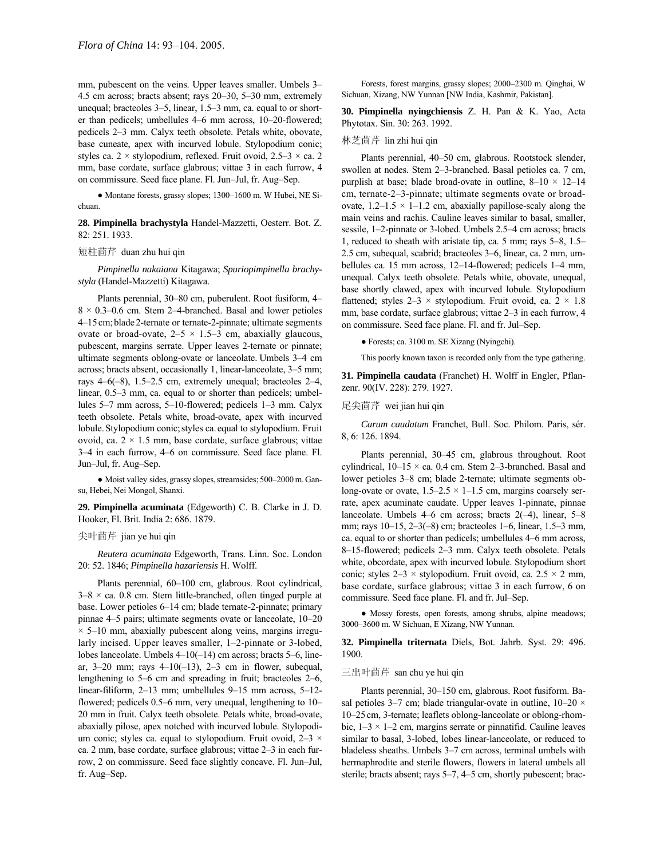mm, pubescent on the veins. Upper leaves smaller. Umbels 3– 4.5 cm across; bracts absent; rays  $20-30$ ,  $5-30$  mm, extremely unequal; bracteoles  $3-5$ , linear,  $1.5-3$  mm, ca. equal to or shorter than pedicels; umbellules  $4-6$  mm across,  $10-20$ -flowered; pedicels 2–3 mm. Calyx teeth obsolete. Petals white, obovate, base cuneate, apex with incurved lobule. Stylopodium conic; styles ca. 2 × stylopodium, reflexed. Fruit ovoid,  $2.5-3 \times$  ca. 2 mm, base cordate, surface glabrous; vittae 3 in each furrow, 4 on commissure. Seed face plane. Fl. Jun-Jul, fr. Aug-Sep.

 $\bullet$  Montane forests, grassy slopes; 1300–1600 m. W Hubei, NE Sichuan.

**28. Pimpinella brachystyla** Handel-Mazzetti, Oesterr. Bot. Z. 82: 251. 1933.

# 短柱茴芹 duan zhu hui qin

*Pimpinella nakaiana* Kitagawa; *Spuriopimpinella brachystyla* (Handel-Mazzetti) Kitagawa.

Plants perennial, 30-80 cm, puberulent. Root fusiform, 4- $8 \times 0.3 - 0.6$  cm. Stem 2-4-branched. Basal and lower petioles 4–15 cm; blade 2-ternate or ternate-2-pinnate; ultimate segments ovate or broad-ovate,  $2-5 \times 1.5-3$  cm, abaxially glaucous, pubescent, margins serrate. Upper leaves 2-ternate or pinnate; ultimate segments oblong-ovate or lanceolate. Umbels 3-4 cm across; bracts absent, occasionally 1, linear-lanceolate,  $3-5$  mm; rays  $4-6(-8)$ , 1.5-2.5 cm, extremely unequal; bracteoles 2-4, linear, 0.5–3 mm, ca. equal to or shorter than pedicels; umbellules 5–7 mm across, 5–10-flowered; pedicels 1–3 mm. Calyx teeth obsolete. Petals white, broad-ovate, apex with incurved lobule. Stylopodium conic; styles ca. equal to stylopodium. Fruit ovoid, ca.  $2 \times 1.5$  mm, base cordate, surface glabrous; vittae 3–4 in each furrow, 4–6 on commissure. Seed face plane. Fl. Jun-Jul, fr. Aug-Sep.

 $\bullet$  Moist valley sides, grassy slopes, streamsides; 500–2000 m. Gansu, Hebei, Nei Mongol, Shanxi.

**29. Pimpinella acuminata** (Edgeworth) C. B. Clarke in J. D. Hooker, Fl. Brit. India 2: 686. 1879.

尖叶茴芹 jian ye hui qin

*Reutera acuminata* Edgeworth, Trans. Linn. Soc. London 20: 52. 1846; *Pimpinella hazariensis* H. Wolff.

Plants perennial, 60–100 cm, glabrous. Root cylindrical,  $3-8 \times$  ca. 0.8 cm. Stem little-branched, often tinged purple at base. Lower petioles 6-14 cm; blade ternate-2-pinnate; primary pinnae 4–5 pairs; ultimate segments ovate or lanceolate, 10–20  $\times$  5–10 mm, abaxially pubescent along veins, margins irregularly incised. Upper leaves smaller, 1-2-pinnate or 3-lobed, lobes lanceolate. Umbels  $4-10(-14)$  cm across; bracts 5–6, linear, 3–20 mm; rays  $4-10(-13)$ , 2–3 cm in flower, subequal, lengthening to  $5-6$  cm and spreading in fruit; bracteoles  $2-6$ , linear-filiform,  $2-13$  mm; umbellules  $9-15$  mm across,  $5-12$ flowered; pedicels  $0.5-6$  mm, very unequal, lengthening to  $10-$ 20 mm in fruit. Calyx teeth obsolete. Petals white, broad-ovate, abaxially pilose, apex notched with incurved lobule. Stylopodium conic; styles ca. equal to stylopodium. Fruit ovoid,  $2-3 \times$ ca. 2 mm, base cordate, surface glabrous; vittae 2-3 in each furrow, 2 on commissure. Seed face slightly concave. Fl. Jun-Jul, fr. Aug-Sep.

Forests, forest margins, grassy slopes; 2000-2300 m. Qinghai, W Sichuan, Xizang, NW Yunnan [NW India, Kashmir, Pakistan].

**30. Pimpinella nyingchiensis** Z. H. Pan & K. Yao, Acta Phytotax. Sin. 30: 263. 1992.

# 林芝茴芹 lin zhi hui qin

Plants perennial, 40–50 cm, glabrous. Rootstock slender, swollen at nodes. Stem 2-3-branched. Basal petioles ca. 7 cm, purplish at base; blade broad-ovate in outline,  $8-10 \times 12-14$ cm, ternate-2–3-pinnate; ultimate segments ovate or broadovate,  $1.2-1.5 \times 1-1.2$  cm, abaxially papillose-scaly along the main veins and rachis. Cauline leaves similar to basal, smaller, sessile, 1-2-pinnate or 3-lobed. Umbels 2.5-4 cm across; bracts 1, reduced to sheath with aristate tip, ca. 5 mm; rays  $5-8$ ,  $1.5-$ 2.5 cm, subequal, scabrid; bracteoles 3–6, linear, ca. 2 mm, umbellules ca. 15 mm across,  $12-14$ -flowered; pedicels  $1-4$  mm, unequal. Calyx teeth obsolete. Petals white, obovate, unequal, base shortly clawed, apex with incurved lobule. Stylopodium flattened; styles  $2-3 \times$  stylopodium. Fruit ovoid, ca.  $2 \times 1.8$ mm, base cordate, surface glabrous; vittae 2-3 in each furrow, 4 on commissure. Seed face plane. Fl. and fr. Jul–Sep.

● Forests; ca. 3100 m. SE Xizang (Nyingchi).

This poorly known taxon is recorded only from the type gathering.

**31. Pimpinella caudata** (Franchet) H. Wolff in Engler, Pflanzenr. 90(IV. 228): 279. 1927.

# 尾尖茴芹 wei jian hui qin

*Carum caudatum* Franchet, Bull. Soc. Philom. Paris, sÈr. 8, 6: 126. 1894.

Plants perennial, 30–45 cm, glabrous throughout. Root cylindrical,  $10-15 \times$  ca. 0.4 cm. Stem 2-3-branched. Basal and lower petioles 3-8 cm; blade 2-ternate; ultimate segments oblong-ovate or ovate,  $1.5-2.5 \times 1-1.5$  cm, margins coarsely serrate, apex acuminate caudate. Upper leaves 1-pinnate, pinnae lanceolate. Umbels 4–6 cm across; bracts  $2(-4)$ , linear, 5–8 mm; rays  $10-15$ ,  $2-3(-8)$  cm; bracteoles 1–6, linear, 1.5–3 mm, ca. equal to or shorter than pedicels; umbellules 4–6 mm across, 8–15-flowered; pedicels 2–3 mm. Calyx teeth obsolete. Petals white, obcordate, apex with incurved lobule. Stylopodium short conic; styles  $2-3 \times$  stylopodium. Fruit ovoid, ca.  $2.5 \times 2$  mm, base cordate, surface glabrous; vittae 3 in each furrow, 6 on commissure. Seed face plane. Fl. and fr. Jul–Sep.

● Mossy forests, open forests, among shrubs, alpine meadows; 3000-3600 m. W Sichuan, E Xizang, NW Yunnan.

**32. Pimpinella triternata** Diels, Bot. Jahrb. Syst. 29: 496. 1900.

# 三出叶茴芹 san chu ye hui qin

Plants perennial, 30-150 cm, glabrous. Root fusiform. Basal petioles 3–7 cm; blade triangular-ovate in outline,  $10-20 \times$ 10–25 cm, 3-ternate; leaflets oblong-lanceolate or oblong-rhombic,  $1-3 \times 1-2$  cm, margins serrate or pinnatifid. Cauline leaves similar to basal, 3-lobed, lobes linear-lanceolate, or reduced to bladeless sheaths. Umbels 3-7 cm across, terminal umbels with hermaphrodite and sterile flowers, flowers in lateral umbels all sterile; bracts absent; rays 5–7, 4–5 cm, shortly pubescent; brac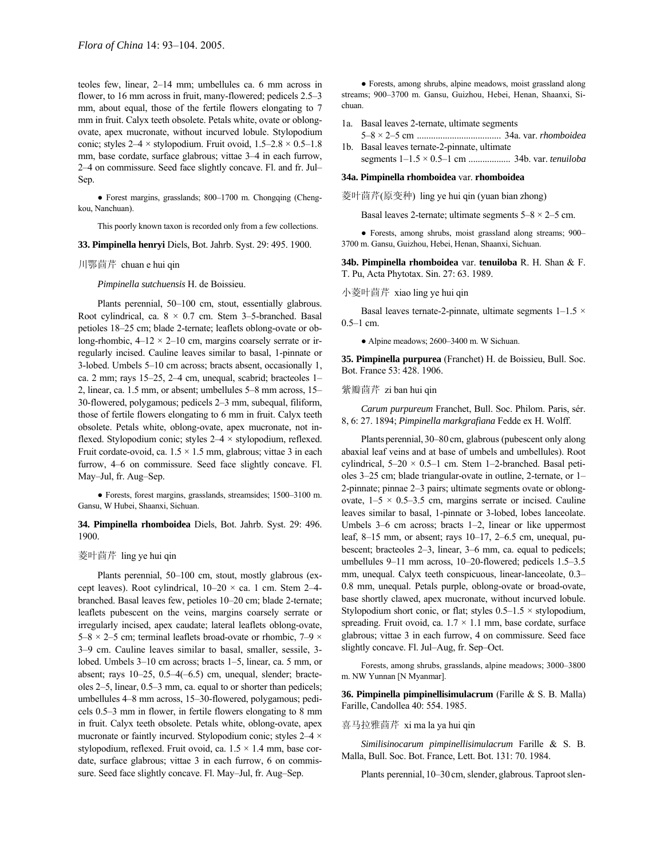teoles few, linear, 2-14 mm; umbellules ca. 6 mm across in flower, to  $16$  mm across in fruit, many-flowered; pedicels  $2.5-3$ mm, about equal, those of the fertile flowers elongating to 7 mm in fruit. Calyx teeth obsolete. Petals white, ovate or oblongovate, apex mucronate, without incurved lobule. Stylopodium conic; styles  $2-4 \times$  stylopodium. Fruit ovoid,  $1.5-2.8 \times 0.5-1.8$ mm, base cordate, surface glabrous; vittae 3-4 in each furrow, 2–4 on commissure. Seed face slightly concave. Fl. and fr. Jul– Sep.

• Forest margins, grasslands; 800-1700 m. Chongqing (Chengkou, Nanchuan).

This poorly known taxon is recorded only from a few collections.

**33. Pimpinella henryi** Diels, Bot. Jahrb. Syst. 29: 495. 1900.

#### 川鄂茴芹 chuan e hui qin

*Pimpinella sutchuensis* H. de Boissieu.

Plants perennial, 50-100 cm, stout, essentially glabrous. Root cylindrical, ca.  $8 \times 0.7$  cm. Stem 3-5-branched. Basal petioles 18–25 cm; blade 2-ternate; leaflets oblong-ovate or oblong-rhombic,  $4-12 \times 2-10$  cm, margins coarsely serrate or irregularly incised. Cauline leaves similar to basal, 1-pinnate or 3-lobed. Umbels  $5-10$  cm across; bracts absent, occasionally 1, ca. 2 mm; rays  $15-25$ ,  $2-4$  cm, unequal, scabrid; bracteoles  $1-$ 2, linear, ca. 1.5 mm, or absent; umbellules 5-8 mm across, 15-30-flowered, polygamous; pedicels  $2-3$  mm, subequal, filiform, those of fertile flowers elongating to 6 mm in fruit. Calyx teeth obsolete. Petals white, oblong-ovate, apex mucronate, not inflexed. Stylopodium conic; styles  $2-4 \times$  stylopodium, reflexed. Fruit cordate-ovoid, ca.  $1.5 \times 1.5$  mm, glabrous; vittae 3 in each furrow, 4–6 on commissure. Seed face slightly concave. Fl. May-Jul, fr. Aug-Sep.

 $\bullet$  Forests, forest margins, grasslands, streamsides; 1500-3100 m. Gansu, W Hubei, Shaanxi, Sichuan.

# **34. Pimpinella rhomboidea** Diels, Bot. Jahrb. Syst. 29: 496. 1900.

# 菱叶茴芹 ling ye hui qin

Plants perennial, 50-100 cm, stout, mostly glabrous (except leaves). Root cylindrical,  $10-20 \times$  ca. 1 cm. Stem 2-4branched. Basal leaves few, petioles 10-20 cm; blade 2-ternate; leaflets pubescent on the veins, margins coarsely serrate or irregularly incised, apex caudate; lateral leaflets oblong-ovate, 5 $-8 \times 2$ -5 cm; terminal leaflets broad-ovate or rhombic, 7 $-9 \times$ 3-9 cm. Cauline leaves similar to basal, smaller, sessile, 3lobed. Umbels 3–10 cm across; bracts 1–5, linear, ca. 5 mm, or absent; rays  $10-25$ ,  $0.5-4(-6.5)$  cm, unequal, slender; bracteoles  $2-5$ , linear,  $0.5-3$  mm, ca. equal to or shorter than pedicels; umbellules 4–8 mm across, 15–30-flowered, polygamous; pedicels  $0.5-3$  mm in flower, in fertile flowers elongating to 8 mm in fruit. Calyx teeth obsolete. Petals white, oblong-ovate, apex mucronate or faintly incurved. Stylopodium conic; styles  $2-4 \times$ stylopodium, reflexed. Fruit ovoid, ca.  $1.5 \times 1.4$  mm, base cordate, surface glabrous; vittae 3 in each furrow, 6 on commissure. Seed face slightly concave. Fl. May-Jul, fr. Aug-Sep.

● Forests, among shrubs, alpine meadows, moist grassland along streams; 900-3700 m. Gansu, Guizhou, Hebei, Henan, Shaanxi, Sichuan.

- 1a. Basal leaves 2-ternate, ultimate segments 5ñ8 × 2ñ5 cm .................................... 34a. var. *rhomboidea*
- 1b. Basal leaves ternate-2-pinnate, ultimate segments 1-1.5 × 0.5-1 cm ................... 34b. var. *tenuiloba*

# **34a. Pimpinella rhomboidea** var. **rhomboidea**

菱叶茴芹(原变种) ling ye hui qin (yuan bian zhong)

Basal leaves 2-ternate; ultimate segments  $5-8 \times 2-5$  cm.

• Forests, among shrubs, moist grassland along streams; 900– 3700 m. Gansu, Guizhou, Hebei, Henan, Shaanxi, Sichuan.

**34b. Pimpinella rhomboidea** var. **tenuiloba** R. H. Shan & F. T. Pu, Acta Phytotax. Sin. 27: 63. 1989.

# 小菱叶茴芹 xiao ling ye hui qin

Basal leaves ternate-2-pinnate, ultimate segments  $1-1.5 \times$  $0.5-1$  cm.

 $\bullet$  Alpine meadows; 2600–3400 m. W Sichuan.

**35. Pimpinella purpurea** (Franchet) H. de Boissieu, Bull. Soc. Bot. France 53: 428. 1906.

#### 紫瓣茴芹 zi ban hui qin

*Carum purpureum* Franchet, Bull. Soc. Philom. Paris, sÈr. 8, 6: 27. 1894; *Pimpinella markgrafiana* Fedde ex H. Wolff.

Plants perennial, 30–80 cm, glabrous (pubescent only along abaxial leaf veins and at base of umbels and umbellules). Root cylindrical,  $5-20 \times 0.5-1$  cm. Stem 1-2-branched. Basal petioles 3–25 cm; blade triangular-ovate in outline, 2-ternate, or 1– 2-pinnate; pinnae  $2-3$  pairs; ultimate segments ovate or oblongovate,  $1-5 \times 0.5-3.5$  cm, margins serrate or incised. Cauline leaves similar to basal, 1-pinnate or 3-lobed, lobes lanceolate. Umbels  $3-6$  cm across; bracts  $1-2$ , linear or like uppermost leaf, 8–15 mm, or absent; rays  $10-17$ , 2–6.5 cm, unequal, pubescent; bracteoles  $2-3$ , linear,  $3-6$  mm, ca. equal to pedicels; umbellules  $9-11$  mm across,  $10-20$ -flowered; pedicels  $1.5-3.5$ mm, unequal. Calyx teeth conspicuous, linear-lanceolate, 0.3– 0.8 mm, unequal. Petals purple, oblong-ovate or broad-ovate, base shortly clawed, apex mucronate, without incurved lobule. Stylopodium short conic, or flat; styles  $0.5-1.5 \times$  stylopodium, spreading. Fruit ovoid, ca.  $1.7 \times 1.1$  mm, base cordate, surface glabrous; vittae 3 in each furrow, 4 on commissure. Seed face slightly concave. Fl. Jul-Aug, fr. Sep-Oct.

Forests, among shrubs, grasslands, alpine meadows; 3000-3800 m. NW Yunnan [N Myanmar].

**36. Pimpinella pimpinellisimulacrum** (Farille & S. B. Malla) Farille, Candollea 40: 554. 1985.

# 喜马拉雅茴芹 xi ma la ya hui qin

*Similisinocarum pimpinellisimulacrum* Farille & S. B. Malla, Bull. Soc. Bot. France, Lett. Bot. 131: 70. 1984.

Plants perennial, 10-30 cm, slender, glabrous. Taproot slen-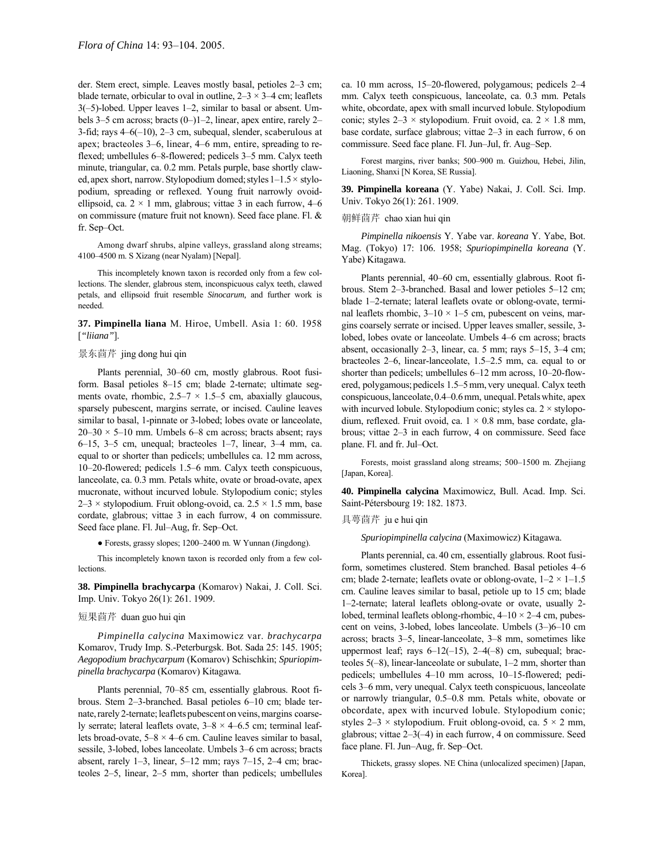der. Stem erect, simple. Leaves mostly basal, petioles 2-3 cm; blade ternate, orbicular to oval in outline,  $2-3 \times 3-4$  cm; leaflets  $3(-5)$ -lobed. Upper leaves 1–2, similar to basal or absent. Umbels 3–5 cm across; bracts  $(0-)1-2$ , linear, apex entire, rarely 2– 3-fid; rays  $4-6(-10)$ ,  $2-3$  cm, subequal, slender, scaberulous at apex; bracteoles  $3-6$ , linear,  $4-6$  mm, entire, spreading to reflexed; umbellules 6-8-flowered; pedicels 3-5 mm. Calyx teeth minute, triangular, ca. 0.2 mm. Petals purple, base shortly clawed, apex short, narrow. Stylopodium domed; styles  $1-1.5 \times$  stylopodium, spreading or reflexed. Young fruit narrowly ovoidellipsoid, ca.  $2 \times 1$  mm, glabrous; vittae 3 in each furrow, 4–6 on commissure (mature fruit not known). Seed face plane. Fl. & fr. Sep-Oct.

Among dwarf shrubs, alpine valleys, grassland along streams; 4100-4500 m. S Xizang (near Nyalam) [Nepal].

This incompletely known taxon is recorded only from a few collections. The slender, glabrous stem, inconspicuous calyx teeth, clawed petals, and ellipsoid fruit resemble *Sinocarum,* and further work is needed.

**37. Pimpinella liana** M. Hiroe, Umbell. Asia 1: 60. 1958 [*"liiana"*].

# 景东茴芹 jing dong hui qin

Plants perennial, 30–60 cm, mostly glabrous. Root fusiform. Basal petioles 8-15 cm; blade 2-ternate; ultimate segments ovate, rhombic,  $2.5-7 \times 1.5-5$  cm, abaxially glaucous, sparsely pubescent, margins serrate, or incised. Cauline leaves similar to basal, 1-pinnate or 3-lobed; lobes ovate or lanceolate,  $20-30 \times 5-10$  mm. Umbels 6–8 cm across; bracts absent; rays 6–15, 3–5 cm, unequal; bracteoles  $1-7$ , linear, 3–4 mm, ca. equal to or shorter than pedicels; umbellules ca. 12 mm across,  $10-20$ -flowered; pedicels 1.5 $-6$  mm. Calyx teeth conspicuous, lanceolate, ca. 0.3 mm. Petals white, ovate or broad-ovate, apex mucronate, without incurved lobule. Stylopodium conic; styles  $2-3 \times$  stylopodium. Fruit oblong-ovoid, ca.  $2.5 \times 1.5$  mm, base cordate, glabrous; vittae 3 in each furrow, 4 on commissure. Seed face plane. Fl. Jul-Aug, fr. Sep-Oct.

● Forests, grassy slopes; 1200-2400 m. W Yunnan (Jingdong).

This incompletely known taxon is recorded only from a few collections.

**38. Pimpinella brachycarpa** (Komarov) Nakai, J. Coll. Sci. Imp. Univ. Tokyo 26(1): 261. 1909.

### 短果茴芹 duan guo hui qin

*Pimpinella calycina* Maximowicz var. *brachycarpa* Komarov, Trudy Imp. S.-Peterburgsk. Bot. Sada 25: 145. 1905; *Aegopodium brachycarpum* (Komarov) Schischkin; *Spuriopimpinella brachycarpa* (Komarov) Kitagawa.

Plants perennial, 70–85 cm, essentially glabrous. Root fibrous. Stem 2-3-branched. Basal petioles 6-10 cm; blade ternate, rarely 2-ternate; leaflets pubescent on veins, margins coarsely serrate; lateral leaflets ovate,  $3-8 \times 4-6.5$  cm; terminal leaflets broad-ovate,  $5-8 \times 4-6$  cm. Cauline leaves similar to basal, sessile, 3-lobed, lobes lanceolate. Umbels 3-6 cm across; bracts absent, rarely  $1-3$ , linear,  $5-12$  mm; rays  $7-15$ ,  $2-4$  cm; bracteoles  $2-5$ , linear,  $2-5$  mm, shorter than pedicels; umbellules ca. 10 mm across, 15-20-flowered, polygamous; pedicels 2-4 mm. Calyx teeth conspicuous, lanceolate, ca. 0.3 mm. Petals white, obcordate, apex with small incurved lobule. Stylopodium conic; styles  $2-3 \times$  stylopodium. Fruit ovoid, ca.  $2 \times 1.8$  mm, base cordate, surface glabrous; vittae 2–3 in each furrow, 6 on commissure. Seed face plane. Fl. Jun-Jul, fr. Aug-Sep.

Forest margins, river banks; 500-900 m. Guizhou, Hebei, Jilin, Liaoning, Shanxi [N Korea, SE Russia].

**39. Pimpinella koreana** (Y. Yabe) Nakai, J. Coll. Sci. Imp. Univ. Tokyo 26(1): 261. 1909.

#### 朝鲜茴芹 chao xian hui qin

*Pimpinella nikoensis* Y. Yabe var. *koreana* Y. Yabe, Bot. Mag. (Tokyo) 17: 106. 1958; *Spuriopimpinella koreana* (Y. Yabe) Kitagawa.

Plants perennial, 40–60 cm, essentially glabrous. Root fibrous. Stem 2–3-branched. Basal and lower petioles 5–12 cm; blade 1-2-ternate; lateral leaflets ovate or oblong-ovate, terminal leaflets rhombic,  $3-10 \times 1-5$  cm, pubescent on veins, margins coarsely serrate or incised. Upper leaves smaller, sessile, 3 lobed, lobes ovate or lanceolate. Umbels 4–6 cm across; bracts absent, occasionally  $2-3$ , linear, ca. 5 mm; rays  $5-15$ ,  $3-4$  cm; bracteoles  $2-6$ , linear-lanceolate,  $1.5-2.5$  mm, ca. equal to or shorter than pedicels; umbellules 6–12 mm across, 10–20-flowered, polygamous; pedicels 1.5–5 mm, very unequal. Calyx teeth conspicuous, lanceolate, 0.4–0.6mm, unequal. Petals white, apex with incurved lobule. Stylopodium conic; styles ca.  $2 \times$  stylopodium, reflexed. Fruit ovoid, ca.  $1 \times 0.8$  mm, base cordate, glabrous; vittae  $2-3$  in each furrow, 4 on commissure. Seed face plane. Fl. and fr. Jul-Oct.

Forests, moist grassland along streams; 500-1500 m. Zhejiang [Japan, Korea].

**40. Pimpinella calycina** Maximowicz, Bull. Acad. Imp. Sci. Saint-PÈtersbourg 19: 182. 1873.

# 具萼茴芹 ju e hui qin

*Spuriopimpinella calycina* (Maximowicz) Kitagawa.

Plants perennial, ca. 40 cm, essentially glabrous. Root fusiform, sometimes clustered. Stem branched. Basal petioles 4-6 cm; blade 2-ternate; leaflets ovate or oblong-ovate,  $1-2 \times 1-1.5$ cm. Cauline leaves similar to basal, petiole up to 15 cm; blade 1-2-ternate; lateral leaflets oblong-ovate or ovate, usually 2lobed, terminal leaflets oblong-rhombic,  $4-10 \times 2-4$  cm, pubescent on veins, 3-lobed, lobes lanceolate. Umbels  $(3–)6–10$  cm across; bracts 3–5, linear-lanceolate, 3–8 mm, sometimes like uppermost leaf; rays  $6-12(-15)$ ,  $2-4(-8)$  cm, subequal; bracteoles  $5(-8)$ , linear-lanceolate or subulate,  $1-2$  mm, shorter than pedicels; umbellules 4-10 mm across, 10-15-flowered; pedicels 3–6 mm, very unequal. Calyx teeth conspicuous, lanceolate or narrowly triangular, 0.5–0.8 mm. Petals white, obovate or obcordate, apex with incurved lobule. Stylopodium conic; styles  $2-3 \times$  stylopodium. Fruit oblong-ovoid, ca.  $5 \times 2$  mm, glabrous; vittae  $2-3(-4)$  in each furrow, 4 on commissure. Seed face plane. Fl. Jun-Aug, fr. Sep-Oct.

Thickets, grassy slopes. NE China (unlocalized specimen) [Japan, Korea].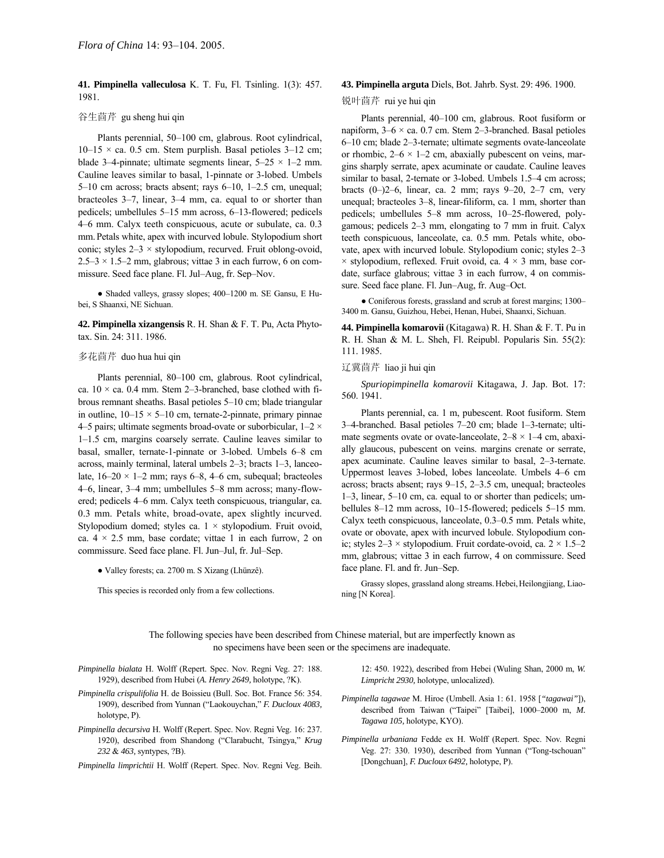**41. Pimpinella valleculosa** K. T. Fu, Fl. Tsinling. 1(3): 457. 1981.

# 谷生茴芹 gu sheng hui qin

Plants perennial, 50–100 cm, glabrous. Root cylindrical,  $10-15 \times$  ca. 0.5 cm. Stem purplish. Basal petioles 3–12 cm; blade 3–4-pinnate; ultimate segments linear,  $5-25 \times 1-2$  mm. Cauline leaves similar to basal, 1-pinnate or 3-lobed. Umbels 5 $-10$  cm across; bracts absent; rays  $6-10$ ,  $1-2.5$  cm, unequal; bracteoles  $3-7$ , linear,  $3-4$  mm, ca. equal to or shorter than pedicels; umbellules 5–15 mm across, 6–13-flowered; pedicels 4–6 mm. Calyx teeth conspicuous, acute or subulate, ca. 0.3 mm.Petals white, apex with incurved lobule. Stylopodium short conic; styles  $2-3 \times$  stylopodium, recurved. Fruit oblong-ovoid,  $2.5-3 \times 1.5-2$  mm, glabrous; vittae 3 in each furrow, 6 on commissure. Seed face plane. Fl. Jul-Aug, fr. Sep-Nov.

• Shaded valleys, grassy slopes; 400–1200 m. SE Gansu, E Hubei, S Shaanxi, NE Sichuan.

**42. Pimpinella xizangensis** R. H. Shan & F. T. Pu, Acta Phytotax. Sin. 24: 311. 1986.

# 多花茴芹 duo hua hui qin

Plants perennial, 80–100 cm, glabrous. Root cylindrical, ca.  $10 \times$  ca. 0.4 mm. Stem 2–3-branched, base clothed with fibrous remnant sheaths. Basal petioles 5-10 cm; blade triangular in outline,  $10-15 \times 5-10$  cm, ternate-2-pinnate, primary pinnae 4–5 pairs; ultimate segments broad-ovate or suborbicular,  $1-2 \times$  $1-1.5$  cm, margins coarsely serrate. Cauline leaves similar to basal, smaller, ternate-1-pinnate or 3-lobed. Umbels 6-8 cm across, mainly terminal, lateral umbels  $2-3$ ; bracts  $1-3$ , lanceolate,  $16-20 \times 1-2$  mm; rays 6-8, 4-6 cm, subequal; bracteoles 4–6, linear, 3–4 mm; umbellules 5–8 mm across; many-flowered; pedicels 4–6 mm. Calyx teeth conspicuous, triangular, ca. 0.3 mm. Petals white, broad-ovate, apex slightly incurved. Stylopodium domed; styles ca.  $1 \times$  stylopodium. Fruit ovoid, ca.  $4 \times 2.5$  mm, base cordate; vittae 1 in each furrow, 2 on commissure. Seed face plane. Fl. Jun-Jul, fr. Jul-Sep.

• Valley forests; ca. 2700 m. S Xizang (Lhünzê).

This species is recorded only from a few collections.

#### **43. Pimpinella arguta** Diels, Bot. Jahrb. Syst. 29: 496. 1900.

# 锐叶茴芹 rui ye hui qin

Plants perennial, 40-100 cm, glabrous. Root fusiform or napiform,  $3-6 \times ca$ . 0.7 cm. Stem 2-3-branched. Basal petioles 6-10 cm; blade 2-3-ternate; ultimate segments ovate-lanceolate or rhombic,  $2-6 \times 1-2$  cm, abaxially pubescent on veins, margins sharply serrate, apex acuminate or caudate. Cauline leaves similar to basal, 2-ternate or 3-lobed. Umbels 1.5-4 cm across; bracts  $(0-2-6$ , linear, ca. 2 mm; rays  $9-20$ ,  $2-7$  cm, very unequal; bracteoles 3-8, linear-filiform, ca. 1 mm, shorter than pedicels; umbellules 5-8 mm across, 10-25-flowered, polygamous; pedicels  $2-3$  mm, elongating to 7 mm in fruit. Calyx teeth conspicuous, lanceolate, ca. 0.5 mm. Petals white, obovate, apex with incurved lobule. Stylopodium conic; styles 2-3  $\times$  stylopodium, reflexed. Fruit ovoid, ca. 4  $\times$  3 mm, base cordate, surface glabrous; vittae 3 in each furrow, 4 on commissure. Seed face plane. Fl. Jun-Aug, fr. Aug-Oct.

 $\bullet$  Coniferous forests, grassland and scrub at forest margins; 1300– 3400 m. Gansu, Guizhou, Hebei, Henan, Hubei, Shaanxi, Sichuan.

**44. Pimpinella komarovii** (Kitagawa) R. H. Shan & F. T. Pu in R. H. Shan & M. L. Sheh, Fl. Reipubl. Popularis Sin. 55(2): 111. 1985.

## 辽冀茴芹 liao ji hui qin

*Spuriopimpinella komarovii* Kitagawa, J. Jap. Bot. 17: 560. 1941.

Plants perennial, ca. 1 m, pubescent. Root fusiform. Stem 3-4-branched. Basal petioles 7-20 cm; blade 1-3-ternate; ultimate segments ovate or ovate-lanceolate,  $2-8 \times 1-4$  cm, abaxially glaucous, pubescent on veins. margins crenate or serrate, apex acuminate. Cauline leaves similar to basal,  $2-3$ -ternate. Uppermost leaves 3-lobed, lobes lanceolate. Umbels 4–6 cm across; bracts absent; rays  $9-15$ ,  $2-3.5$  cm, unequal; bracteoles  $1-3$ , linear,  $5-10$  cm, ca. equal to or shorter than pedicels; umbellules  $8-12$  mm across,  $10-15$ -flowered; pedicels  $5-15$  mm. Calyx teeth conspicuous, lanceolate,  $0.3-0.5$  mm. Petals white, ovate or obovate, apex with incurved lobule. Stylopodium conic; styles  $2-3 \times$  stylopodium. Fruit cordate-ovoid, ca.  $2 \times 1.5-2$ mm, glabrous; vittae 3 in each furrow, 4 on commissure. Seed face plane. Fl. and fr. Jun–Sep.

Grassy slopes, grassland along streams.Hebei,Heilongjiang, Liaoning [N Korea].

The following species have been described from Chinese material, but are imperfectly known as no specimens have been seen or the specimens are inadequate.

*Pimpinella bialata* H. Wolff (Repert. Spec. Nov. Regni Veg. 27: 188. 1929), described from Hubei (*A. Henry 2649,* holotype, ?K).

- *Pimpinella crispulifolia* H. de Boissieu (Bull. Soc. Bot. France 56: 354. 1909), described from Yunnan ("Laokouychan," F. Ducloux 4083, holotype, P).
- *Pimpinella decursiva* H. Wolff (Repert. Spec. Nov. Regni Veg. 16: 237. 1920), described from Shandong ("Clarabucht, Tsingya," *Krug 232* & *463,* syntypes, ?B).

*Pimpinella limprichtii* H. Wolff (Repert. Spec. Nov. Regni Veg. Beih.

12: 450. 1922), described from Hebei (Wuling Shan, 2000 m, *W. Limpricht 2930,* holotype, unlocalized).

- *Pimpinella tagawae* M. Hiroe (Umbell. Asia 1: 61. 1958 [*"tagawai"*]), described from Taiwan ("Taipei" [Taibei], 1000-2000 m, *M*. *Tagawa 105,* holotype, KYO).
- *Pimpinella urbaniana* Fedde ex H. Wolff (Repert. Spec. Nov. Regni Veg. 27: 330. 1930), described from Yunnan ("Tong-tschouan" [Dongchuan], *F. Ducloux 6492,* holotype, P).